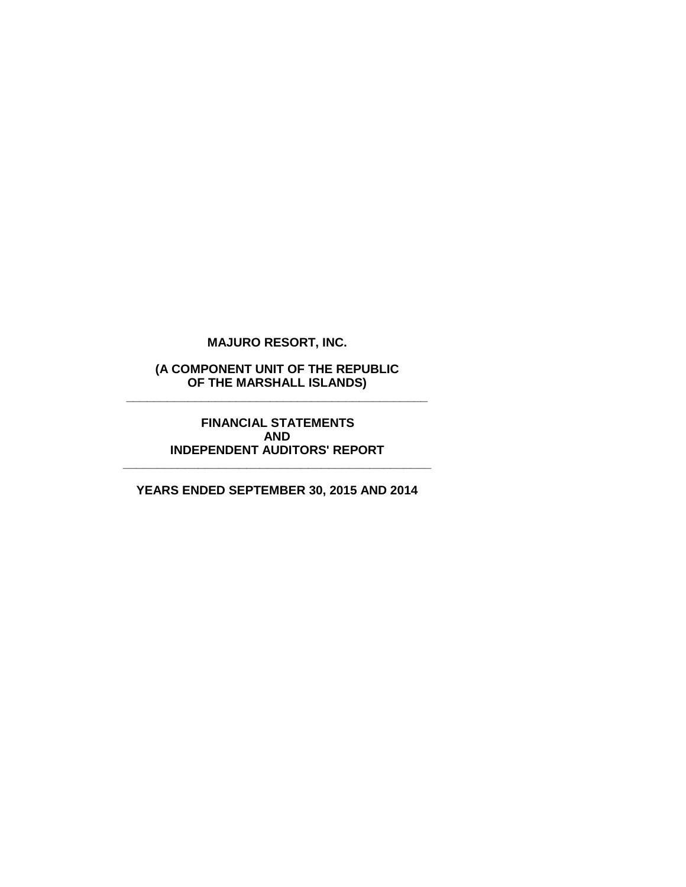**MAJURO RESORT, INC.**

**(A COMPONENT UNIT OF THE REPUBLIC OF THE MARSHALL ISLANDS) \_\_\_\_\_\_\_\_\_\_\_\_\_\_\_\_\_\_\_\_\_\_\_\_\_\_\_\_\_\_\_\_\_\_\_\_\_\_\_\_\_\_\_\_**

> **FINANCIAL STATEMENTS AND INDEPENDENT AUDITORS' REPORT**

**YEARS ENDED SEPTEMBER 30, 2015 AND 2014**

**\_\_\_\_\_\_\_\_\_\_\_\_\_\_\_\_\_\_\_\_\_\_\_\_\_\_\_\_\_\_\_\_\_\_\_\_\_\_\_\_\_\_\_\_\_**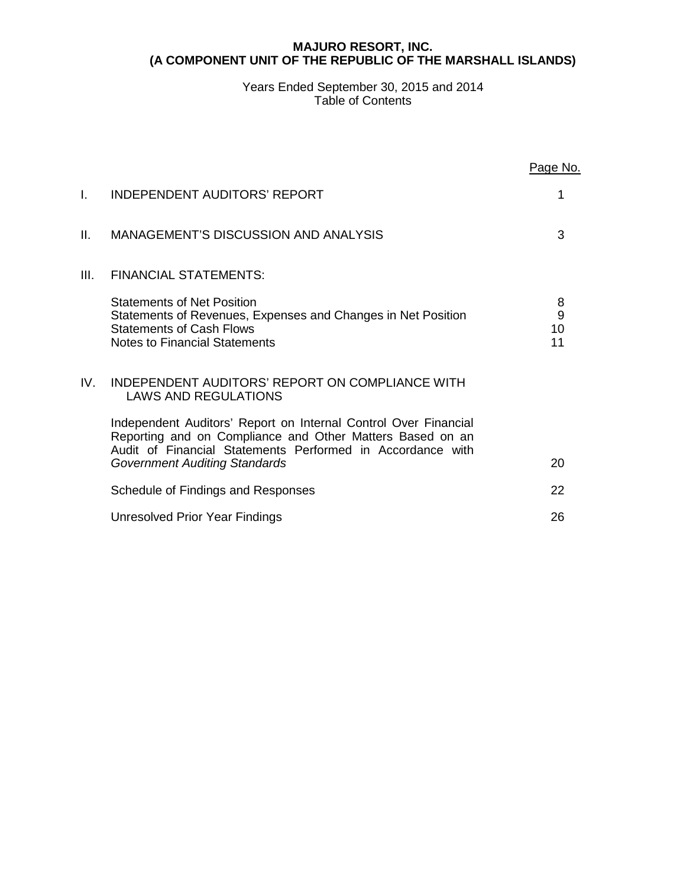## Years Ended September 30, 2015 and 2014 Table of Contents

|      |                                                                                                                                                                                                                                    | Page No.           |
|------|------------------------------------------------------------------------------------------------------------------------------------------------------------------------------------------------------------------------------------|--------------------|
| I.   | INDEPENDENT AUDITORS' REPORT                                                                                                                                                                                                       |                    |
| П.   | <b>MANAGEMENT'S DISCUSSION AND ANALYSIS</b>                                                                                                                                                                                        | 3                  |
| III. | <b>FINANCIAL STATEMENTS:</b>                                                                                                                                                                                                       |                    |
|      | <b>Statements of Net Position</b><br>Statements of Revenues, Expenses and Changes in Net Position<br><b>Statements of Cash Flows</b><br>Notes to Financial Statements                                                              | 8<br>9<br>10<br>11 |
| IV.  | INDEPENDENT AUDITORS' REPORT ON COMPLIANCE WITH<br><b>LAWS AND REGULATIONS</b>                                                                                                                                                     |                    |
|      | Independent Auditors' Report on Internal Control Over Financial<br>Reporting and on Compliance and Other Matters Based on an<br>Audit of Financial Statements Performed in Accordance with<br><b>Government Auditing Standards</b> | 20                 |
|      | Schedule of Findings and Responses                                                                                                                                                                                                 | 22                 |
|      |                                                                                                                                                                                                                                    | 26                 |
|      | Unresolved Prior Year Findings                                                                                                                                                                                                     |                    |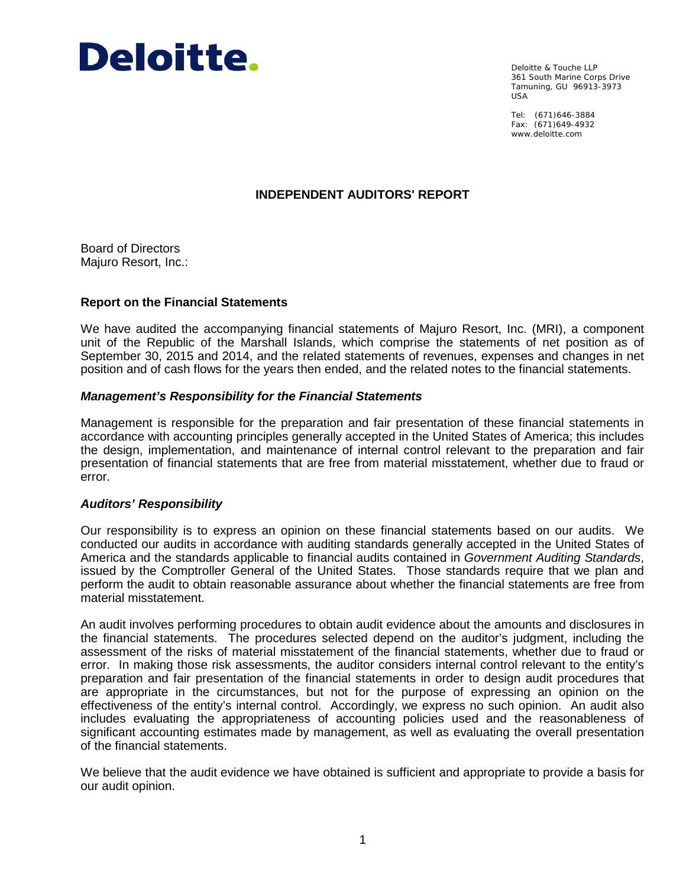

Deloitte & Touche LLP 361 South Marine Corps Drive Tamuning, GU 96913-3973 USA

Tel: (671)646-3884 Fax: (671)649-4932 www.deloitte.com

## **INDEPENDENT AUDITORS' REPORT**

Board of Directors Majuro Resort, Inc.:

## **Report on the Financial Statements**

We have audited the accompanying financial statements of Majuro Resort, Inc. (MRI), a component unit of the Republic of the Marshall Islands, which comprise the statements of net position as of September 30, 2015 and 2014, and the related statements of revenues, expenses and changes in net position and of cash flows for the years then ended, and the related notes to the financial statements.

#### *Management's Responsibility for the Financial Statements*

Management is responsible for the preparation and fair presentation of these financial statements in accordance with accounting principles generally accepted in the United States of America; this includes the design, implementation, and maintenance of internal control relevant to the preparation and fair presentation of financial statements that are free from material misstatement, whether due to fraud or error.

#### *Auditors' Responsibility*

Our responsibility is to express an opinion on these financial statements based on our audits. We conducted our audits in accordance with auditing standards generally accepted in the United States of America and the standards applicable to financial audits contained in *Government Auditing Standards*, issued by the Comptroller General of the United States. Those standards require that we plan and perform the audit to obtain reasonable assurance about whether the financial statements are free from material misstatement.

An audit involves performing procedures to obtain audit evidence about the amounts and disclosures in the financial statements. The procedures selected depend on the auditor's judgment, including the assessment of the risks of material misstatement of the financial statements, whether due to fraud or error. In making those risk assessments, the auditor considers internal control relevant to the entity's preparation and fair presentation of the financial statements in order to design audit procedures that are appropriate in the circumstances, but not for the purpose of expressing an opinion on the effectiveness of the entity's internal control. Accordingly, we express no such opinion. An audit also includes evaluating the appropriateness of accounting policies used and the reasonableness of significant accounting estimates made by management, as well as evaluating the overall presentation of the financial statements.

We believe that the audit evidence we have obtained is sufficient and appropriate to provide a basis for our audit opinion.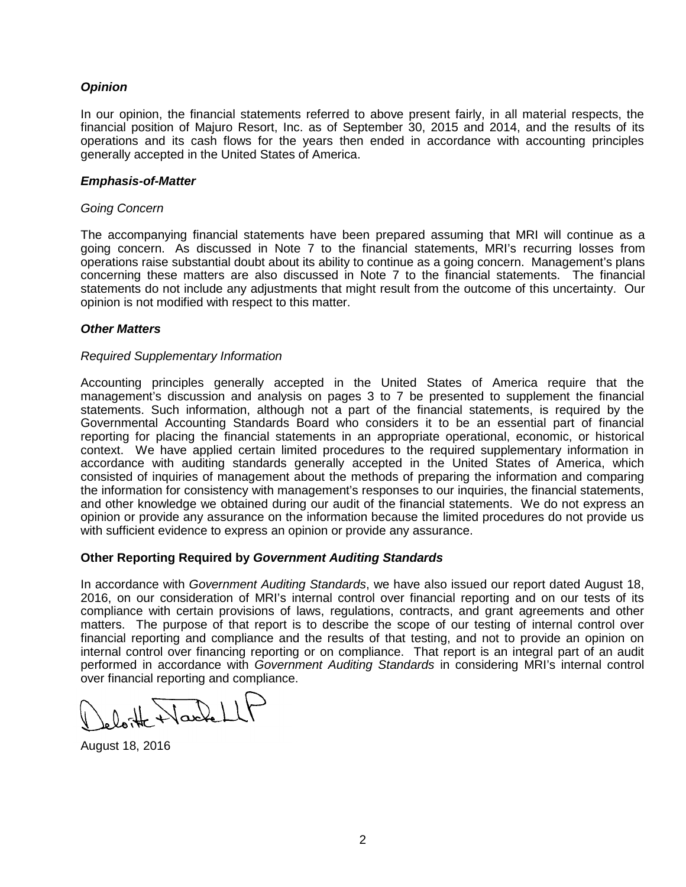## *Opinion*

In our opinion, the financial statements referred to above present fairly, in all material respects, the financial position of Majuro Resort, Inc. as of September 30, 2015 and 2014, and the results of its operations and its cash flows for the years then ended in accordance with accounting principles generally accepted in the United States of America.

## *Emphasis-of-Matter*

#### *Going Concern*

The accompanying financial statements have been prepared assuming that MRI will continue as a going concern. As discussed in Note 7 to the financial statements, MRI's recurring losses from operations raise substantial doubt about its ability to continue as a going concern. Management's plans concerning these matters are also discussed in Note 7 to the financial statements. The financial statements do not include any adjustments that might result from the outcome of this uncertainty. Our opinion is not modified with respect to this matter.

## *Other Matters*

#### *Required Supplementary Information*

Accounting principles generally accepted in the United States of America require that the management's discussion and analysis on pages 3 to 7 be presented to supplement the financial statements. Such information, although not a part of the financial statements, is required by the Governmental Accounting Standards Board who considers it to be an essential part of financial reporting for placing the financial statements in an appropriate operational, economic, or historical context. We have applied certain limited procedures to the required supplementary information in accordance with auditing standards generally accepted in the United States of America, which consisted of inquiries of management about the methods of preparing the information and comparing the information for consistency with management's responses to our inquiries, the financial statements, and other knowledge we obtained during our audit of the financial statements. We do not express an opinion or provide any assurance on the information because the limited procedures do not provide us with sufficient evidence to express an opinion or provide any assurance.

## **Other Reporting Required by** *Government Auditing Standards*

In accordance with *Government Auditing Standards*, we have also issued our report dated August 18, 2016, on our consideration of MRI's internal control over financial reporting and on our tests of its compliance with certain provisions of laws, regulations, contracts, and grant agreements and other matters. The purpose of that report is to describe the scope of our testing of internal control over financial reporting and compliance and the results of that testing, and not to provide an opinion on internal control over financing reporting or on compliance. That report is an integral part of an audit performed in accordance with *Government Auditing Standards* in considering MRI's internal control over financial reporting and compliance.

loite Harlet

August 18, 2016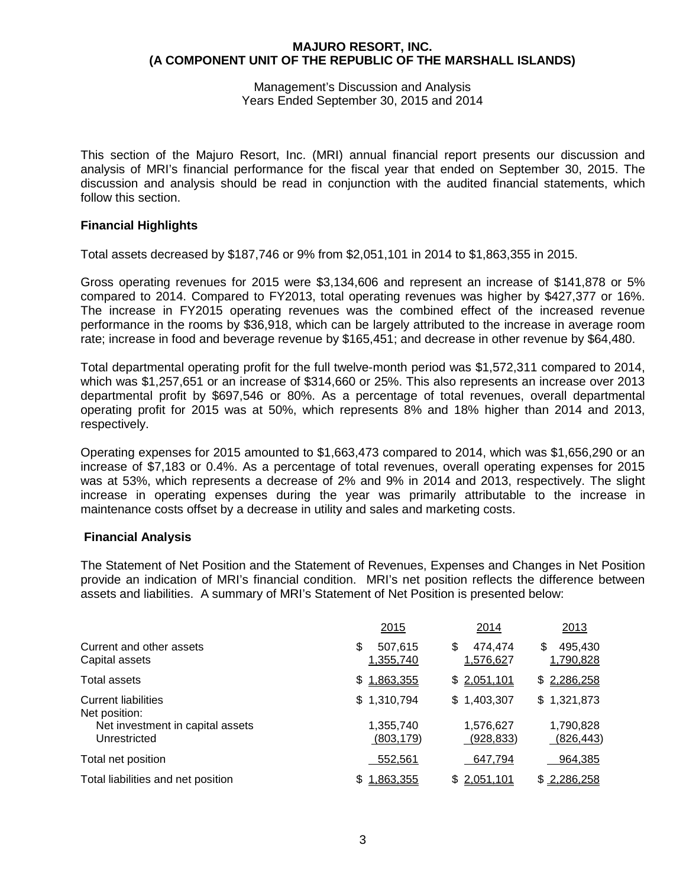Management's Discussion and Analysis Years Ended September 30, 2015 and 2014

This section of the Majuro Resort, Inc. (MRI) annual financial report presents our discussion and analysis of MRI's financial performance for the fiscal year that ended on September 30, 2015. The discussion and analysis should be read in conjunction with the audited financial statements, which follow this section.

# **Financial Highlights**

Total assets decreased by \$187,746 or 9% from \$2,051,101 in 2014 to \$1,863,355 in 2015.

Gross operating revenues for 2015 were \$3,134,606 and represent an increase of \$141,878 or 5% compared to 2014. Compared to FY2013, total operating revenues was higher by \$427,377 or 16%. The increase in FY2015 operating revenues was the combined effect of the increased revenue performance in the rooms by \$36,918, which can be largely attributed to the increase in average room rate; increase in food and beverage revenue by \$165,451; and decrease in other revenue by \$64,480.

Total departmental operating profit for the full twelve-month period was \$1,572,311 compared to 2014, which was \$1,257,651 or an increase of \$314,660 or 25%. This also represents an increase over 2013 departmental profit by \$697,546 or 80%. As a percentage of total revenues, overall departmental operating profit for 2015 was at 50%, which represents 8% and 18% higher than 2014 and 2013, respectively.

Operating expenses for 2015 amounted to \$1,663,473 compared to 2014, which was \$1,656,290 or an increase of \$7,183 or 0.4%. As a percentage of total revenues, overall operating expenses for 2015 was at 53%, which represents a decrease of 2% and 9% in 2014 and 2013, respectively. The slight increase in operating expenses during the year was primarily attributable to the increase in maintenance costs offset by a decrease in utility and sales and marketing costs.

## **Financial Analysis**

The Statement of Net Position and the Statement of Revenues, Expenses and Changes in Net Position provide an indication of MRI's financial condition. MRI's net position reflects the difference between assets and liabilities. A summary of MRI's Statement of Net Position is presented below:

|                                                  | 2015                       | 2014                      | 2013                       |
|--------------------------------------------------|----------------------------|---------------------------|----------------------------|
| Current and other assets<br>Capital assets       | \$<br>507,615<br>1,355,740 | 474.474<br>S<br>1,576,627 | 495,430<br>\$<br>1,790,828 |
| Total assets                                     | 1,863,355<br>\$            | \$2,051,101               | 2,286,258<br>\$            |
| <b>Current liabilities</b><br>Net position:      | \$1,310,794                | \$1,403,307               | \$1,321,873                |
| Net investment in capital assets<br>Unrestricted | 1,355,740<br>(803, 179)    | 1,576,627<br>(928, 833)   | 1,790,828<br>(826, 443)    |
| Total net position                               | 552,561                    | 647,794                   | 964,385                    |
| Total liabilities and net position               | 1,863,355                  | 2,051,101<br>\$           | 2,286,258<br>\$.           |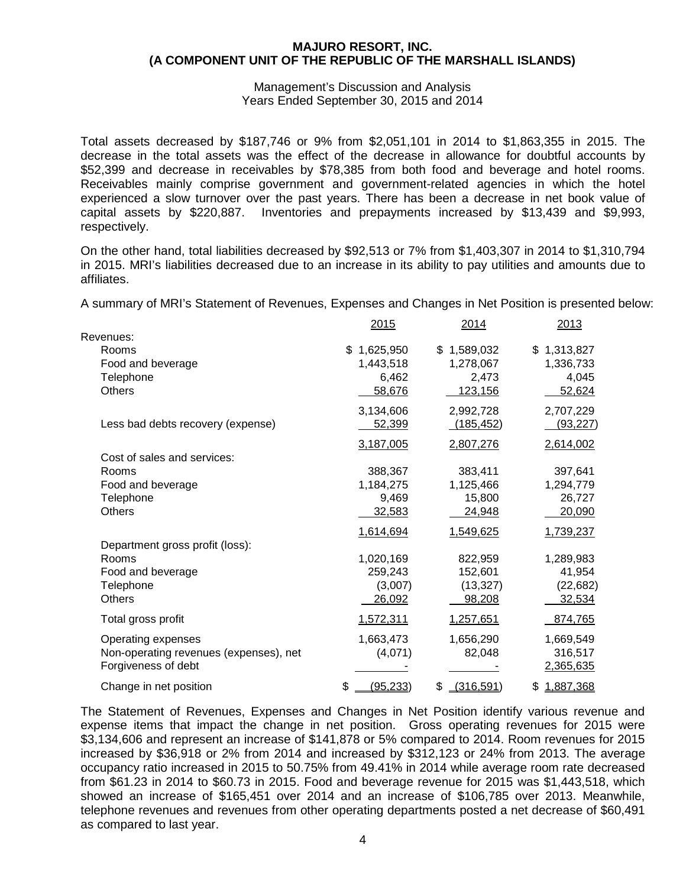### Management's Discussion and Analysis Years Ended September 30, 2015 and 2014

Total assets decreased by \$187,746 or 9% from \$2,051,101 in 2014 to \$1,863,355 in 2015. The decrease in the total assets was the effect of the decrease in allowance for doubtful accounts by \$52,399 and decrease in receivables by \$78,385 from both food and beverage and hotel rooms. Receivables mainly comprise government and government-related agencies in which the hotel experienced a slow turnover over the past years. There has been a decrease in net book value of capital assets by \$220,887. Inventories and prepayments increased by \$13,439 and \$9,993, respectively.

On the other hand, total liabilities decreased by \$92,513 or 7% from \$1,403,307 in 2014 to \$1,310,794 in 2015. MRI's liabilities decreased due to an increase in its ability to pay utilities and amounts due to affiliates.

A summary of MRI's Statement of Revenues, Expenses and Changes in Net Position is presented below:

|                                        | 2015            | 2014            | 2013            |
|----------------------------------------|-----------------|-----------------|-----------------|
| Revenues:                              |                 |                 |                 |
| Rooms                                  | 1,625,950<br>\$ | \$1,589,032     | \$1,313,827     |
| Food and beverage                      | 1,443,518       | 1,278,067       | 1,336,733       |
| Telephone                              | 6,462           | 2,473           | 4,045           |
| <b>Others</b>                          | 58,676          | 123,156         | 52,624          |
|                                        | 3,134,606       | 2,992,728       | 2,707,229       |
| Less bad debts recovery (expense)      | 52,399          | (185, 452)      | <u>(93,227)</u> |
|                                        | 3,187,005       | 2,807,276       | 2,614,002       |
| Cost of sales and services:            |                 |                 |                 |
| Rooms                                  | 388,367         | 383,411         | 397,641         |
| Food and beverage                      | 1,184,275       | 1,125,466       | 1,294,779       |
| Telephone                              | 9,469           | 15,800          | 26,727          |
| <b>Others</b>                          | 32,583          | 24,948          | 20,090          |
|                                        | 1,614,694       | 1,549,625       | 1,739,237       |
| Department gross profit (loss):        |                 |                 |                 |
| Rooms                                  | 1,020,169       | 822,959         | 1,289,983       |
| Food and beverage                      | 259,243         | 152,601         | 41,954          |
| Telephone                              | (3,007)         | (13, 327)       | (22, 682)       |
| <b>Others</b>                          | 26,092          | 98,208          | 32,534          |
| Total gross profit                     | 1,572,311       | 1,257,651       | 874,765         |
| Operating expenses                     | 1,663,473       | 1,656,290       | 1,669,549       |
| Non-operating revenues (expenses), net | (4,071)         | 82,048          | 316,517         |
| Forgiveness of debt                    |                 |                 | 2,365,635       |
| Change in net position                 | \$<br>(95, 233) | \$<br>(316,591) | 1,887,368<br>\$ |

The Statement of Revenues, Expenses and Changes in Net Position identify various revenue and expense items that impact the change in net position. Gross operating revenues for 2015 were \$3,134,606 and represent an increase of \$141,878 or 5% compared to 2014. Room revenues for 2015 increased by \$36,918 or 2% from 2014 and increased by \$312,123 or 24% from 2013. The average occupancy ratio increased in 2015 to 50.75% from 49.41% in 2014 while average room rate decreased from \$61.23 in 2014 to \$60.73 in 2015. Food and beverage revenue for 2015 was \$1,443,518, which showed an increase of \$165,451 over 2014 and an increase of \$106,785 over 2013. Meanwhile, telephone revenues and revenues from other operating departments posted a net decrease of \$60,491 as compared to last year.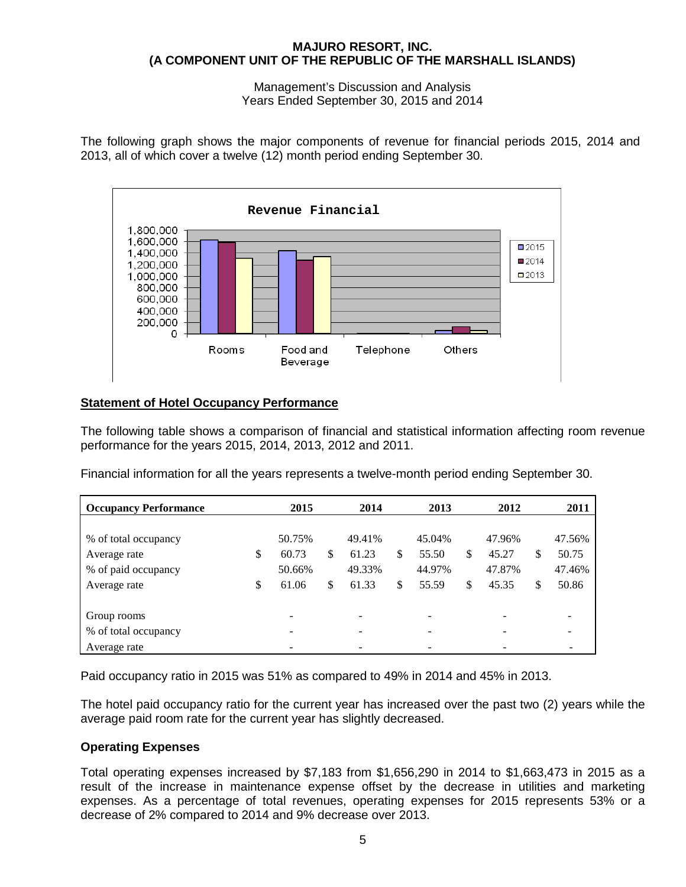Management's Discussion and Analysis Years Ended September 30, 2015 and 2014

The following graph shows the major components of revenue for financial periods 2015, 2014 and 2013, all of which cover a twelve (12) month period ending September 30.



# **Statement of Hotel Occupancy Performance**

The following table shows a comparison of financial and statistical information affecting room revenue performance for the years 2015, 2014, 2013, 2012 and 2011.

Financial information for all the years represents a twelve-month period ending September 30.

| <b>Occupancy Performance</b> | 2015        | 2014        | 2013        | 2012        | 2011        |
|------------------------------|-------------|-------------|-------------|-------------|-------------|
|                              |             |             |             |             |             |
| % of total occupancy         | 50.75%      | 49.41%      | 45.04%      | 47.96%      | 47.56%      |
| Average rate                 | \$<br>60.73 | \$<br>61.23 | \$<br>55.50 | \$<br>45.27 | \$<br>50.75 |
| % of paid occupancy          | 50.66%      | 49.33%      | 44.97%      | 47.87%      | 47.46%      |
| Average rate                 | \$<br>61.06 | \$<br>61.33 | \$<br>55.59 | \$<br>45.35 | \$<br>50.86 |
|                              |             |             |             |             |             |
| Group rooms                  |             |             |             | ۰           |             |
| % of total occupancy         |             |             |             | -           |             |
| Average rate                 |             |             |             | -           |             |

Paid occupancy ratio in 2015 was 51% as compared to 49% in 2014 and 45% in 2013.

The hotel paid occupancy ratio for the current year has increased over the past two (2) years while the average paid room rate for the current year has slightly decreased.

## **Operating Expenses**

Total operating expenses increased by \$7,183 from \$1,656,290 in 2014 to \$1,663,473 in 2015 as a result of the increase in maintenance expense offset by the decrease in utilities and marketing expenses. As a percentage of total revenues, operating expenses for 2015 represents 53% or a decrease of 2% compared to 2014 and 9% decrease over 2013.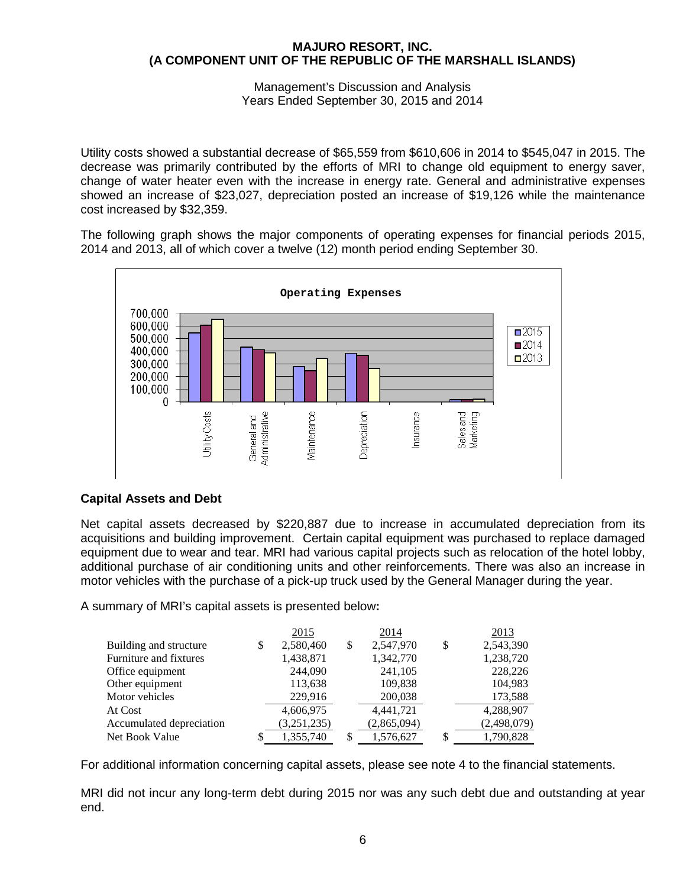Management's Discussion and Analysis Years Ended September 30, 2015 and 2014

Utility costs showed a substantial decrease of \$65,559 from \$610,606 in 2014 to \$545,047 in 2015. The decrease was primarily contributed by the efforts of MRI to change old equipment to energy saver, change of water heater even with the increase in energy rate. General and administrative expenses showed an increase of \$23,027, depreciation posted an increase of \$19,126 while the maintenance cost increased by \$32,359.

The following graph shows the major components of operating expenses for financial periods 2015, 2014 and 2013, all of which cover a twelve (12) month period ending September 30.



# **Capital Assets and Debt**

Net capital assets decreased by \$220,887 due to increase in accumulated depreciation from its acquisitions and building improvement. Certain capital equipment was purchased to replace damaged equipment due to wear and tear. MRI had various capital projects such as relocation of the hotel lobby, additional purchase of air conditioning units and other reinforcements. There was also an increase in motor vehicles with the purchase of a pick-up truck used by the General Manager during the year.

A summary of MRI's capital assets is presented below**:**

|                          |   | 2015        | 2014            |    | 2013        |
|--------------------------|---|-------------|-----------------|----|-------------|
| Building and structure   | S | 2,580,460   | \$<br>2,547,970 | \$ | 2,543,390   |
| Furniture and fixtures   |   | 1,438,871   | 1,342,770       |    | 1,238,720   |
| Office equipment         |   | 244,090     | 241,105         |    | 228,226     |
| Other equipment          |   | 113,638     | 109,838         |    | 104,983     |
| Motor vehicles           |   | 229,916     | 200,038         |    | 173,588     |
| At Cost                  |   | 4,606,975   | 4,441,721       |    | 4,288,907   |
| Accumulated depreciation |   | (3,251,235) | (2,865,094)     |    | (2,498,079) |
| Net Book Value           |   | 1.355.740   | \$<br>1,576,627 | S  | 1,790,828   |

For additional information concerning capital assets, please see note 4 to the financial statements.

MRI did not incur any long-term debt during 2015 nor was any such debt due and outstanding at year end.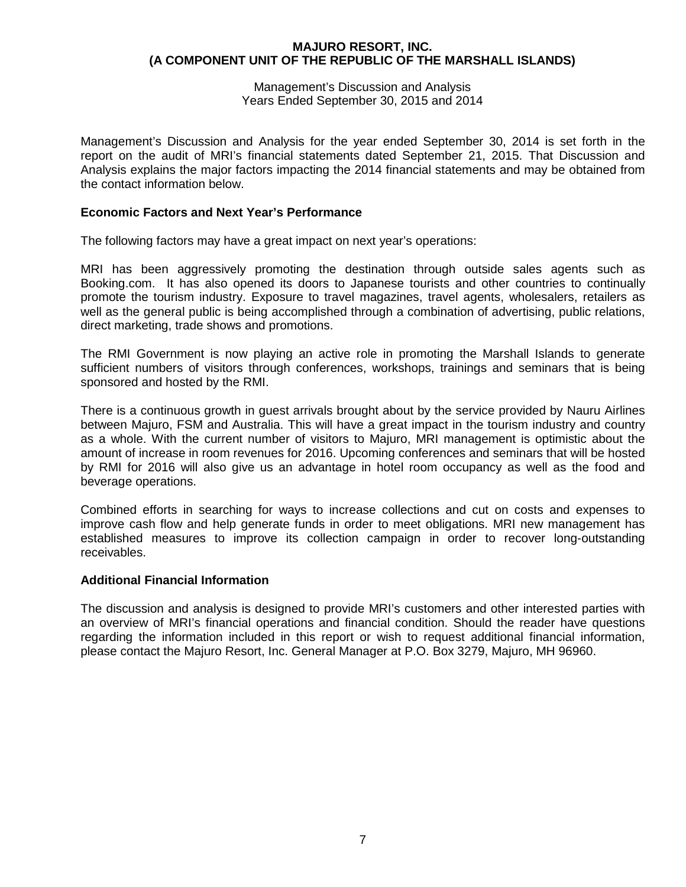Management's Discussion and Analysis Years Ended September 30, 2015 and 2014

Management's Discussion and Analysis for the year ended September 30, 2014 is set forth in the report on the audit of MRI's financial statements dated September 21, 2015. That Discussion and Analysis explains the major factors impacting the 2014 financial statements and may be obtained from the contact information below.

## **Economic Factors and Next Year's Performance**

The following factors may have a great impact on next year's operations:

MRI has been aggressively promoting the destination through outside sales agents such as Booking.com. It has also opened its doors to Japanese tourists and other countries to continually promote the tourism industry. Exposure to travel magazines, travel agents, wholesalers, retailers as well as the general public is being accomplished through a combination of advertising, public relations, direct marketing, trade shows and promotions.

The RMI Government is now playing an active role in promoting the Marshall Islands to generate sufficient numbers of visitors through conferences, workshops, trainings and seminars that is being sponsored and hosted by the RMI.

There is a continuous growth in guest arrivals brought about by the service provided by Nauru Airlines between Majuro, FSM and Australia. This will have a great impact in the tourism industry and country as a whole. With the current number of visitors to Majuro, MRI management is optimistic about the amount of increase in room revenues for 2016. Upcoming conferences and seminars that will be hosted by RMI for 2016 will also give us an advantage in hotel room occupancy as well as the food and beverage operations.

Combined efforts in searching for ways to increase collections and cut on costs and expenses to improve cash flow and help generate funds in order to meet obligations. MRI new management has established measures to improve its collection campaign in order to recover long-outstanding receivables.

## **Additional Financial Information**

The discussion and analysis is designed to provide MRI's customers and other interested parties with an overview of MRI's financial operations and financial condition. Should the reader have questions regarding the information included in this report or wish to request additional financial information, please contact the Majuro Resort, Inc. General Manager at P.O. Box 3279, Majuro, MH 96960.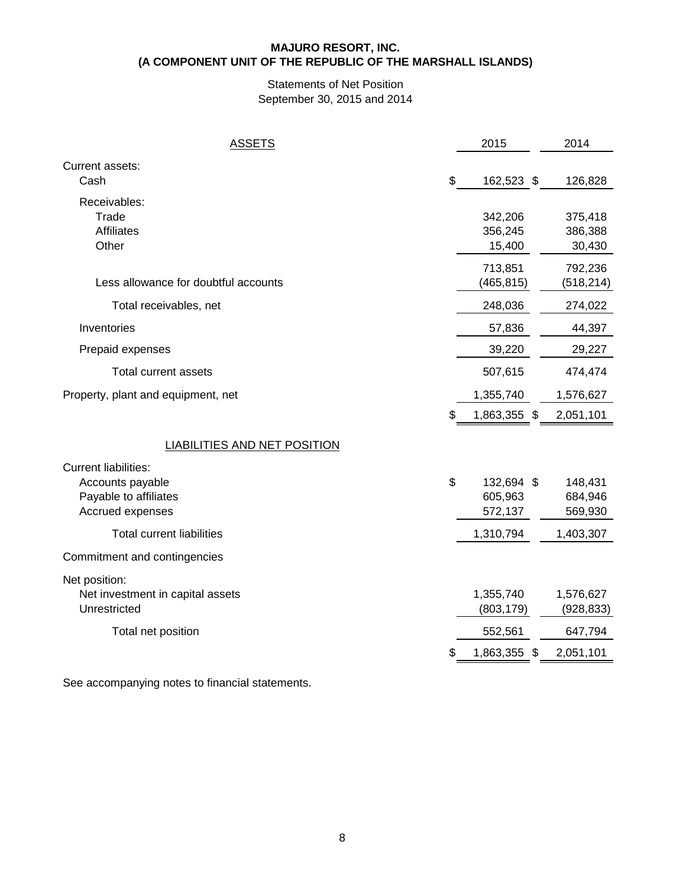## Statements of Net Position September 30, 2015 and 2014

| 2015                                   | 2014                                    |
|----------------------------------------|-----------------------------------------|
| \$<br>162,523 \$                       | 126,828                                 |
| 342,206<br>356,245<br>15,400           | 375,418<br>386,388<br>30,430<br>792,236 |
| (465, 815)                             | (518, 214)                              |
| 248,036                                | 274,022                                 |
| 57,836                                 | 44,397                                  |
| 39,220                                 | 29,227                                  |
| 507,615                                | 474,474                                 |
| 1,355,740                              | 1,576,627                               |
| \$<br>1,863,355 \$                     | 2,051,101                               |
|                                        |                                         |
| \$<br>132,694 \$<br>605,963<br>572,137 | 148,431<br>684,946<br>569,930           |
|                                        | 1,403,307                               |
|                                        |                                         |
| 1,355,740<br>(803, 179)                | 1,576,627<br>(928, 833)                 |
| 552,561                                | 647,794                                 |
| 1,863,355 \$                           | 2,051,101                               |
|                                        | 713,851<br>1,310,794                    |

See accompanying notes to financial statements.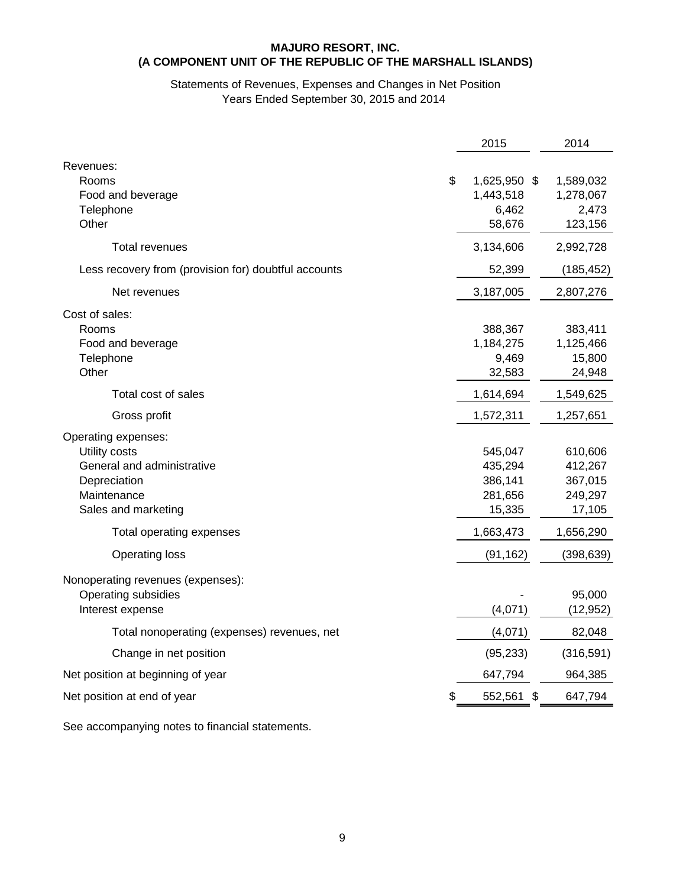## Statements of Revenues, Expenses and Changes in Net Position Years Ended September 30, 2015 and 2014

| Revenues:<br>\$<br>1,625,950 \$<br>Rooms                       | 1,589,032<br>1,278,067<br>2,473 |
|----------------------------------------------------------------|---------------------------------|
|                                                                |                                 |
|                                                                |                                 |
| Food and beverage<br>1,443,518                                 |                                 |
| 6,462<br>Telephone                                             |                                 |
| Other<br>58,676                                                | 123,156                         |
| <b>Total revenues</b><br>3,134,606                             | 2,992,728                       |
| Less recovery from (provision for) doubtful accounts<br>52,399 | (185, 452)                      |
| Net revenues<br>3,187,005                                      | 2,807,276                       |
| Cost of sales:                                                 |                                 |
| Rooms<br>388,367                                               | 383,411                         |
| Food and beverage<br>1,184,275                                 | 1,125,466                       |
| Telephone<br>9,469                                             | 15,800                          |
| Other<br>32,583                                                | 24,948                          |
| Total cost of sales<br>1,614,694                               | 1,549,625                       |
| Gross profit<br>1,572,311                                      | 1,257,651                       |
| Operating expenses:                                            |                                 |
| Utility costs<br>545,047                                       | 610,606                         |
| General and administrative<br>435,294                          | 412,267                         |
| 386,141<br>Depreciation                                        | 367,015                         |
| Maintenance<br>281,656                                         | 249,297                         |
| 15,335<br>Sales and marketing                                  | 17,105                          |
| Total operating expenses<br>1,663,473                          | 1,656,290                       |
| <b>Operating loss</b><br>(91, 162)                             | (398, 639)                      |
| Nonoperating revenues (expenses):                              |                                 |
| Operating subsidies                                            | 95,000                          |
| Interest expense<br>(4,071)                                    | (12, 952)                       |
| (4,071)<br>Total nonoperating (expenses) revenues, net         | 82,048                          |
| Change in net position<br>(95, 233)                            | (316, 591)                      |
| Net position at beginning of year<br>647,794                   | 964,385                         |
| Net position at end of year<br>552,561 \$                      | 647,794                         |

See accompanying notes to financial statements.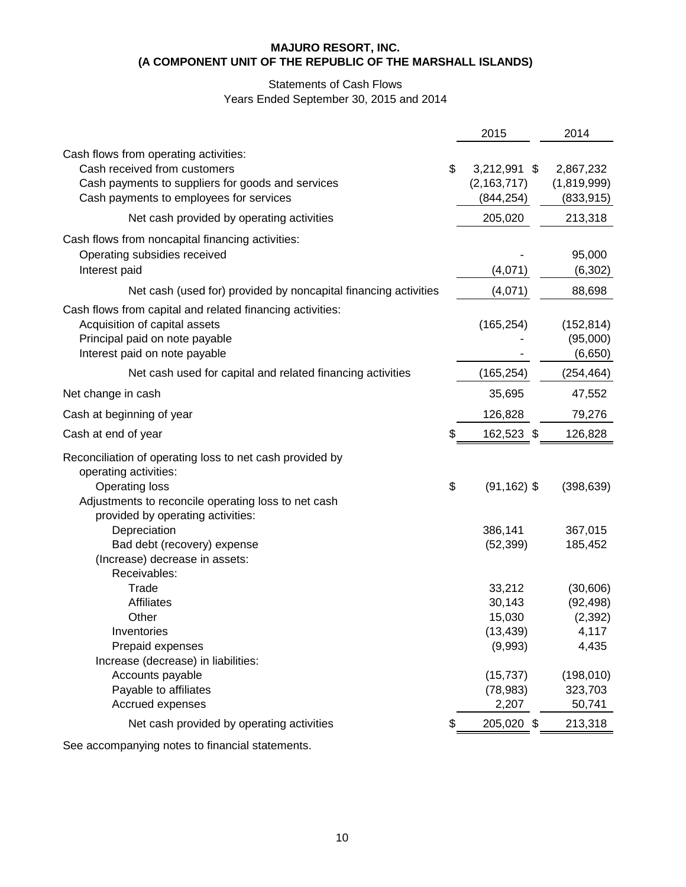# Statements of Cash Flows Years Ended September 30, 2015 and 2014

| Cash flows from operating activities:<br>Cash received from customers<br>\$<br>3,212,991 \$<br>2,867,232<br>Cash payments to suppliers for goods and services<br>(2, 163, 717)<br>(1,819,999)<br>Cash payments to employees for services<br>(833, 915)<br>(844, 254)<br>Net cash provided by operating activities<br>205,020<br>213,318<br>Cash flows from noncapital financing activities:<br>Operating subsidies received<br>95,000<br>Interest paid<br>(4,071)<br>(6, 302)<br>(4,071)<br>Net cash (used for) provided by noncapital financing activities<br>88,698<br>Cash flows from capital and related financing activities:<br>Acquisition of capital assets<br>(165, 254)<br>(152, 814)<br>Principal paid on note payable<br>(95,000)<br>Interest paid on note payable<br>(6,650)<br>Net cash used for capital and related financing activities<br>(165, 254)<br>(254, 464)<br>35,695<br>47,552<br>Net change in cash<br>Cash at beginning of year<br>126,828<br>79,276<br>162,523 \$<br>126,828<br>Cash at end of year<br>Reconciliation of operating loss to net cash provided by<br>operating activities:<br>\$<br><b>Operating loss</b><br>$(91, 162)$ \$<br>(398, 639)<br>Adjustments to reconcile operating loss to net cash<br>provided by operating activities:<br>Depreciation<br>386,141<br>367,015<br>Bad debt (recovery) expense<br>(52, 399)<br>185,452<br>(Increase) decrease in assets:<br>Receivables:<br>Trade<br>33,212<br>(30,606)<br><b>Affiliates</b><br>(92, 498)<br>30,143<br>Other<br>15,030<br>(2, 392)<br>(13, 439)<br>Inventories<br>4,117<br>Prepaid expenses<br>(9,993)<br>4,435<br>Increase (decrease) in liabilities:<br>Accounts payable<br>(15, 737)<br>(198, 010)<br>Payable to affiliates<br>(78, 983)<br>323,703<br>Accrued expenses<br>2,207<br>50,741<br>Net cash provided by operating activities<br>205,020 \$<br>213,318 |  | 2015 | 2014 |
|---------------------------------------------------------------------------------------------------------------------------------------------------------------------------------------------------------------------------------------------------------------------------------------------------------------------------------------------------------------------------------------------------------------------------------------------------------------------------------------------------------------------------------------------------------------------------------------------------------------------------------------------------------------------------------------------------------------------------------------------------------------------------------------------------------------------------------------------------------------------------------------------------------------------------------------------------------------------------------------------------------------------------------------------------------------------------------------------------------------------------------------------------------------------------------------------------------------------------------------------------------------------------------------------------------------------------------------------------------------------------------------------------------------------------------------------------------------------------------------------------------------------------------------------------------------------------------------------------------------------------------------------------------------------------------------------------------------------------------------------------------------------------------------------------------------------------------------------------------------------------|--|------|------|
|                                                                                                                                                                                                                                                                                                                                                                                                                                                                                                                                                                                                                                                                                                                                                                                                                                                                                                                                                                                                                                                                                                                                                                                                                                                                                                                                                                                                                                                                                                                                                                                                                                                                                                                                                                                                                                                                           |  |      |      |
|                                                                                                                                                                                                                                                                                                                                                                                                                                                                                                                                                                                                                                                                                                                                                                                                                                                                                                                                                                                                                                                                                                                                                                                                                                                                                                                                                                                                                                                                                                                                                                                                                                                                                                                                                                                                                                                                           |  |      |      |
|                                                                                                                                                                                                                                                                                                                                                                                                                                                                                                                                                                                                                                                                                                                                                                                                                                                                                                                                                                                                                                                                                                                                                                                                                                                                                                                                                                                                                                                                                                                                                                                                                                                                                                                                                                                                                                                                           |  |      |      |
|                                                                                                                                                                                                                                                                                                                                                                                                                                                                                                                                                                                                                                                                                                                                                                                                                                                                                                                                                                                                                                                                                                                                                                                                                                                                                                                                                                                                                                                                                                                                                                                                                                                                                                                                                                                                                                                                           |  |      |      |
|                                                                                                                                                                                                                                                                                                                                                                                                                                                                                                                                                                                                                                                                                                                                                                                                                                                                                                                                                                                                                                                                                                                                                                                                                                                                                                                                                                                                                                                                                                                                                                                                                                                                                                                                                                                                                                                                           |  |      |      |
|                                                                                                                                                                                                                                                                                                                                                                                                                                                                                                                                                                                                                                                                                                                                                                                                                                                                                                                                                                                                                                                                                                                                                                                                                                                                                                                                                                                                                                                                                                                                                                                                                                                                                                                                                                                                                                                                           |  |      |      |
|                                                                                                                                                                                                                                                                                                                                                                                                                                                                                                                                                                                                                                                                                                                                                                                                                                                                                                                                                                                                                                                                                                                                                                                                                                                                                                                                                                                                                                                                                                                                                                                                                                                                                                                                                                                                                                                                           |  |      |      |
|                                                                                                                                                                                                                                                                                                                                                                                                                                                                                                                                                                                                                                                                                                                                                                                                                                                                                                                                                                                                                                                                                                                                                                                                                                                                                                                                                                                                                                                                                                                                                                                                                                                                                                                                                                                                                                                                           |  |      |      |
|                                                                                                                                                                                                                                                                                                                                                                                                                                                                                                                                                                                                                                                                                                                                                                                                                                                                                                                                                                                                                                                                                                                                                                                                                                                                                                                                                                                                                                                                                                                                                                                                                                                                                                                                                                                                                                                                           |  |      |      |
|                                                                                                                                                                                                                                                                                                                                                                                                                                                                                                                                                                                                                                                                                                                                                                                                                                                                                                                                                                                                                                                                                                                                                                                                                                                                                                                                                                                                                                                                                                                                                                                                                                                                                                                                                                                                                                                                           |  |      |      |
|                                                                                                                                                                                                                                                                                                                                                                                                                                                                                                                                                                                                                                                                                                                                                                                                                                                                                                                                                                                                                                                                                                                                                                                                                                                                                                                                                                                                                                                                                                                                                                                                                                                                                                                                                                                                                                                                           |  |      |      |
|                                                                                                                                                                                                                                                                                                                                                                                                                                                                                                                                                                                                                                                                                                                                                                                                                                                                                                                                                                                                                                                                                                                                                                                                                                                                                                                                                                                                                                                                                                                                                                                                                                                                                                                                                                                                                                                                           |  |      |      |
|                                                                                                                                                                                                                                                                                                                                                                                                                                                                                                                                                                                                                                                                                                                                                                                                                                                                                                                                                                                                                                                                                                                                                                                                                                                                                                                                                                                                                                                                                                                                                                                                                                                                                                                                                                                                                                                                           |  |      |      |
|                                                                                                                                                                                                                                                                                                                                                                                                                                                                                                                                                                                                                                                                                                                                                                                                                                                                                                                                                                                                                                                                                                                                                                                                                                                                                                                                                                                                                                                                                                                                                                                                                                                                                                                                                                                                                                                                           |  |      |      |

See accompanying notes to financial statements.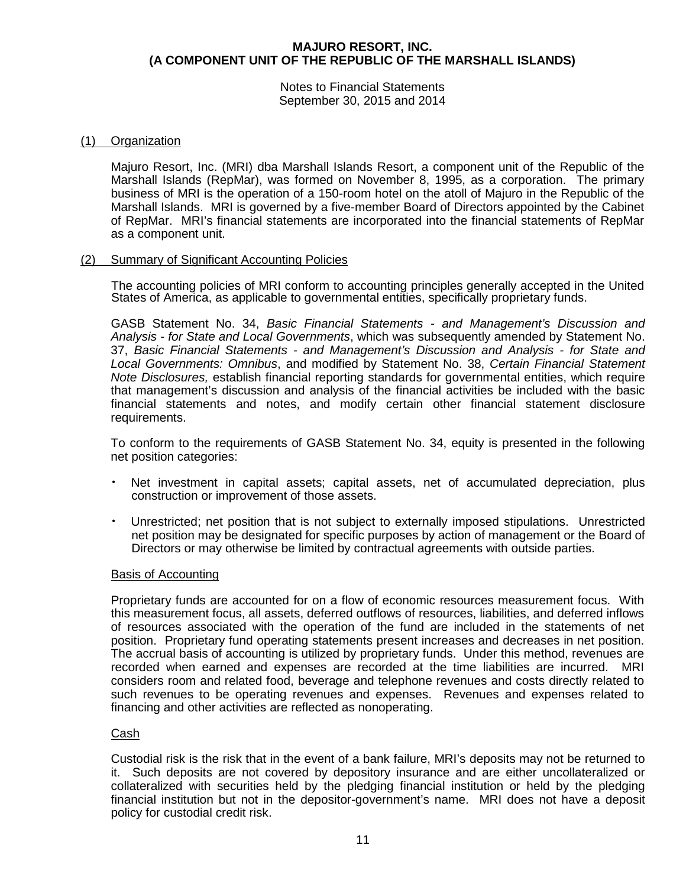Notes to Financial Statements September 30, 2015 and 2014

## (1) Organization

Majuro Resort, Inc. (MRI) dba Marshall Islands Resort, a component unit of the Republic of the Marshall Islands (RepMar), was formed on November 8, 1995, as a corporation. The primary business of MRI is the operation of a 150-room hotel on the atoll of Majuro in the Republic of the Marshall Islands. MRI is governed by a five-member Board of Directors appointed by the Cabinet of RepMar. MRI's financial statements are incorporated into the financial statements of RepMar as a component unit.

## (2) Summary of Significant Accounting Policies

The accounting policies of MRI conform to accounting principles generally accepted in the United States of America, as applicable to governmental entities, specifically proprietary funds.

GASB Statement No. 34, *Basic Financial Statements - and Management's Discussion and Analysis - for State and Local Governments*, which was subsequently amended by Statement No. 37, *Basic Financial Statements - and Management's Discussion and Analysis - for State and Local Governments: Omnibus*, and modified by Statement No. 38, *Certain Financial Statement Note Disclosures,* establish financial reporting standards for governmental entities, which require that management's discussion and analysis of the financial activities be included with the basic financial statements and notes, and modify certain other financial statement disclosure requirements.

To conform to the requirements of GASB Statement No. 34, equity is presented in the following net position categories:

- Net investment in capital assets; capital assets, net of accumulated depreciation, plus construction or improvement of those assets.
- Unrestricted; net position that is not subject to externally imposed stipulations. Unrestricted net position may be designated for specific purposes by action of management or the Board of Directors or may otherwise be limited by contractual agreements with outside parties.

#### Basis of Accounting

Proprietary funds are accounted for on a flow of economic resources measurement focus. With this measurement focus, all assets, deferred outflows of resources, liabilities, and deferred inflows of resources associated with the operation of the fund are included in the statements of net position. Proprietary fund operating statements present increases and decreases in net position. The accrual basis of accounting is utilized by proprietary funds. Under this method, revenues are recorded when earned and expenses are recorded at the time liabilities are incurred. MRI considers room and related food, beverage and telephone revenues and costs directly related to such revenues to be operating revenues and expenses. Revenues and expenses related to financing and other activities are reflected as nonoperating.

## Cash

Custodial risk is the risk that in the event of a bank failure, MRI's deposits may not be returned to it. Such deposits are not covered by depository insurance and are either uncollateralized or collateralized with securities held by the pledging financial institution or held by the pledging financial institution but not in the depositor-government's name. MRI does not have a deposit policy for custodial credit risk.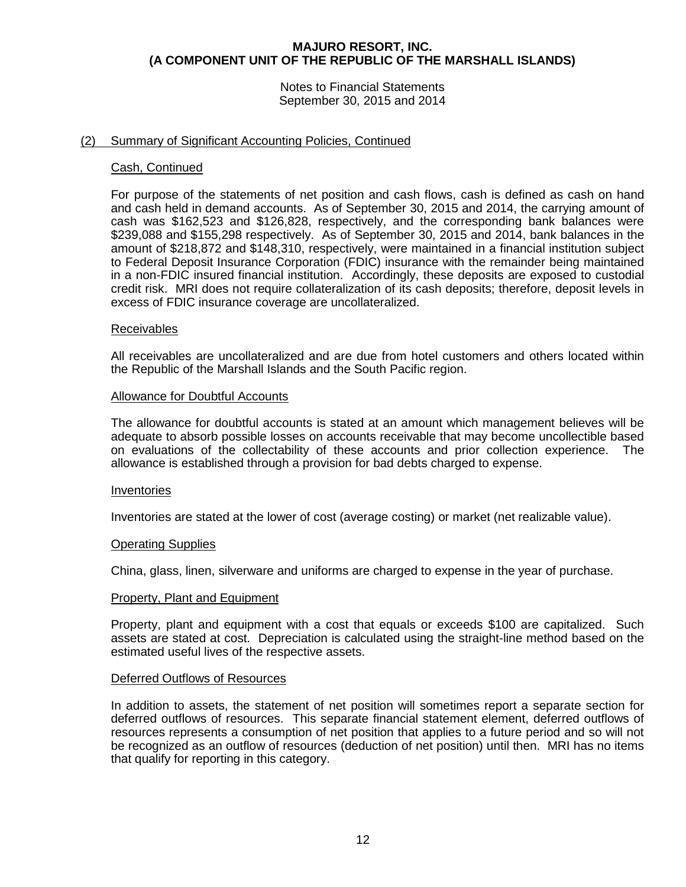Notes to Financial Statements September 30, 2015 and 2014

#### (2) Summary of Significant Accounting Policies, Continued

#### Cash, Continued

For purpose of the statements of net position and cash flows, cash is defined as cash on hand and cash held in demand accounts. As of September 30, 2015 and 2014, the carrying amount of cash was \$162,523 and \$126,828, respectively, and the corresponding bank balances were \$239,088 and \$155,298 respectively. As of September 30, 2015 and 2014, bank balances in the amount of \$218,872 and \$148,310, respectively, were maintained in a financial institution subject to Federal Deposit Insurance Corporation (FDIC) insurance with the remainder being maintained in a non-FDIC insured financial institution. Accordingly, these deposits are exposed to custodial credit risk. MRI does not require collateralization of its cash deposits; therefore, deposit levels in excess of FDIC insurance coverage are uncollateralized.

#### Receivables

All receivables are uncollateralized and are due from hotel customers and others located within the Republic of the Marshall Islands and the South Pacific region.

#### Allowance for Doubtful Accounts

The allowance for doubtful accounts is stated at an amount which management believes will be adequate to absorb possible losses on accounts receivable that may become uncollectible based on evaluations of the collectability of these accounts and prior collection experience. The allowance is established through a provision for bad debts charged to expense.

#### Inventories

Inventories are stated at the lower of cost (average costing) or market (net realizable value).

#### Operating Supplies

China, glass, linen, silverware and uniforms are charged to expense in the year of purchase.

#### Property, Plant and Equipment

Property, plant and equipment with a cost that equals or exceeds \$100 are capitalized. Such assets are stated at cost. Depreciation is calculated using the straight-line method based on the estimated useful lives of the respective assets.

#### Deferred Outflows of Resources

In addition to assets, the statement of net position will sometimes report a separate section for deferred outflows of resources. This separate financial statement element, deferred outflows of resources represents a consumption of net position that applies to a future period and so will not be recognized as an outflow of resources (deduction of net position) until then. MRI has no items that qualify for reporting in this category.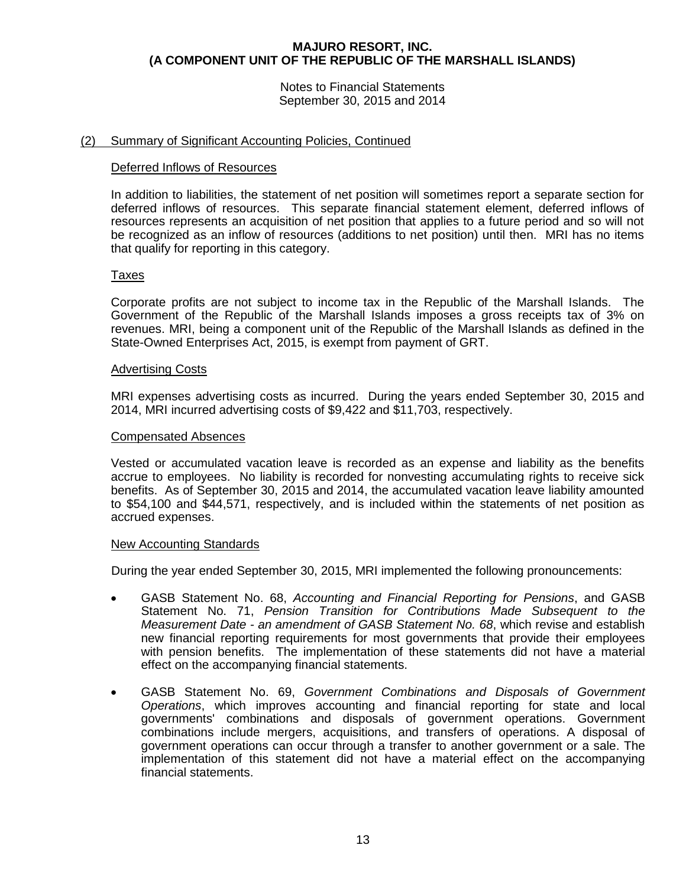Notes to Financial Statements September 30, 2015 and 2014

## (2) Summary of Significant Accounting Policies, Continued

#### Deferred Inflows of Resources

In addition to liabilities, the statement of net position will sometimes report a separate section for deferred inflows of resources. This separate financial statement element, deferred inflows of resources represents an acquisition of net position that applies to a future period and so will not be recognized as an inflow of resources (additions to net position) until then. MRI has no items that qualify for reporting in this category.

## Taxes

Corporate profits are not subject to income tax in the Republic of the Marshall Islands. The Government of the Republic of the Marshall Islands imposes a gross receipts tax of 3% on revenues. MRI, being a component unit of the Republic of the Marshall Islands as defined in the State-Owned Enterprises Act, 2015, is exempt from payment of GRT.

#### Advertising Costs

MRI expenses advertising costs as incurred. During the years ended September 30, 2015 and 2014, MRI incurred advertising costs of \$9,422 and \$11,703, respectively.

#### Compensated Absences

Vested or accumulated vacation leave is recorded as an expense and liability as the benefits accrue to employees. No liability is recorded for nonvesting accumulating rights to receive sick benefits. As of September 30, 2015 and 2014, the accumulated vacation leave liability amounted to \$54,100 and \$44,571, respectively, and is included within the statements of net position as accrued expenses.

#### New Accounting Standards

During the year ended September 30, 2015, MRI implemented the following pronouncements:

- GASB Statement No. 68, *Accounting and Financial Reporting for Pensions*, and GASB Statement No. 71, *Pension Transition for Contributions Made Subsequent to the Measurement Date - an amendment of GASB Statement No. 68*, which revise and establish new financial reporting requirements for most governments that provide their employees with pension benefits. The implementation of these statements did not have a material effect on the accompanying financial statements.
- GASB Statement No. 69, *Government Combinations and Disposals of Government Operations*, which improves accounting and financial reporting for state and local governments' combinations and disposals of government operations. Government combinations include mergers, acquisitions, and transfers of operations. A disposal of government operations can occur through a transfer to another government or a sale. The implementation of this statement did not have a material effect on the accompanying financial statements.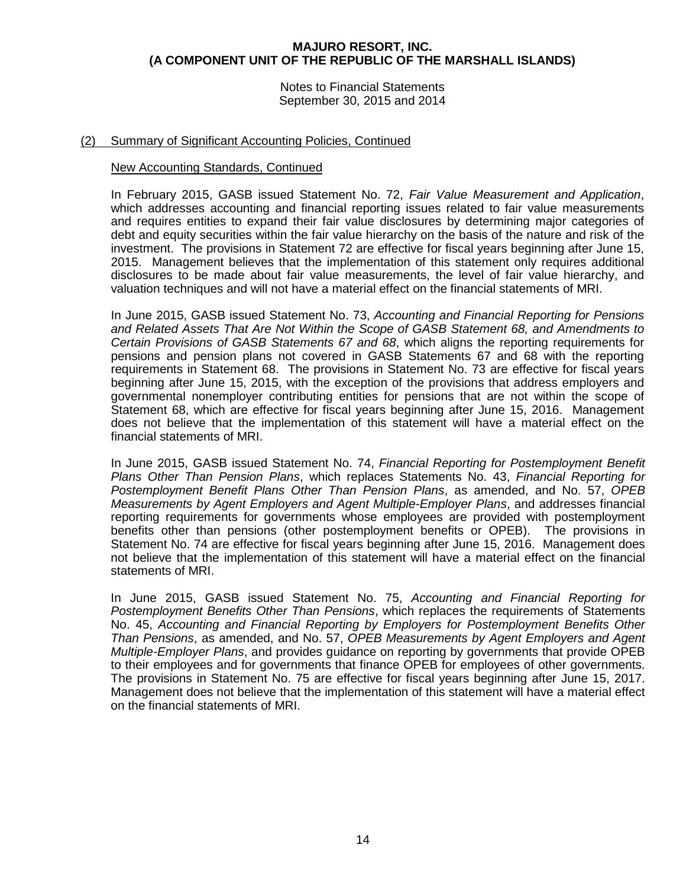Notes to Financial Statements September 30, 2015 and 2014

## (2) Summary of Significant Accounting Policies, Continued

#### New Accounting Standards, Continued

In February 2015, GASB issued Statement No. 72, *Fair Value Measurement and Application*, which addresses accounting and financial reporting issues related to fair value measurements and requires entities to expand their fair value disclosures by determining major categories of debt and equity securities within the fair value hierarchy on the basis of the nature and risk of the investment. The provisions in Statement 72 are effective for fiscal years beginning after June 15, 2015. Management believes that the implementation of this statement only requires additional disclosures to be made about fair value measurements, the level of fair value hierarchy, and valuation techniques and will not have a material effect on the financial statements of MRI.

In June 2015, GASB issued Statement No. 73, *Accounting and Financial Reporting for Pensions and Related Assets That Are Not Within the Scope of GASB Statement 68, and Amendments to Certain Provisions of GASB Statements 67 and 68*, which aligns the reporting requirements for pensions and pension plans not covered in GASB Statements 67 and 68 with the reporting requirements in Statement 68. The provisions in Statement No. 73 are effective for fiscal years beginning after June 15, 2015, with the exception of the provisions that address employers and governmental nonemployer contributing entities for pensions that are not within the scope of Statement 68, which are effective for fiscal years beginning after June 15, 2016. Management does not believe that the implementation of this statement will have a material effect on the financial statements of MRI.

In June 2015, GASB issued Statement No. 74, *Financial Reporting for Postemployment Benefit Plans Other Than Pension Plans*, which replaces Statements No. 43, *Financial Reporting for Postemployment Benefit Plans Other Than Pension Plans*, as amended, and No. 57, *OPEB Measurements by Agent Employers and Agent Multiple-Employer Plans*, and addresses financial reporting requirements for governments whose employees are provided with postemployment benefits other than pensions (other postemployment benefits or OPEB). The provisions in Statement No. 74 are effective for fiscal years beginning after June 15, 2016. Management does not believe that the implementation of this statement will have a material effect on the financial statements of MRI.

In June 2015, GASB issued Statement No. 75, *Accounting and Financial Reporting for Postemployment Benefits Other Than Pensions*, which replaces the requirements of Statements No. 45, *Accounting and Financial Reporting by Employers for Postemployment Benefits Other Than Pensions*, as amended, and No. 57, *OPEB Measurements by Agent Employers and Agent Multiple-Employer Plans*, and provides guidance on reporting by governments that provide OPEB to their employees and for governments that finance OPEB for employees of other governments. The provisions in Statement No. 75 are effective for fiscal years beginning after June 15, 2017. Management does not believe that the implementation of this statement will have a material effect on the financial statements of MRI.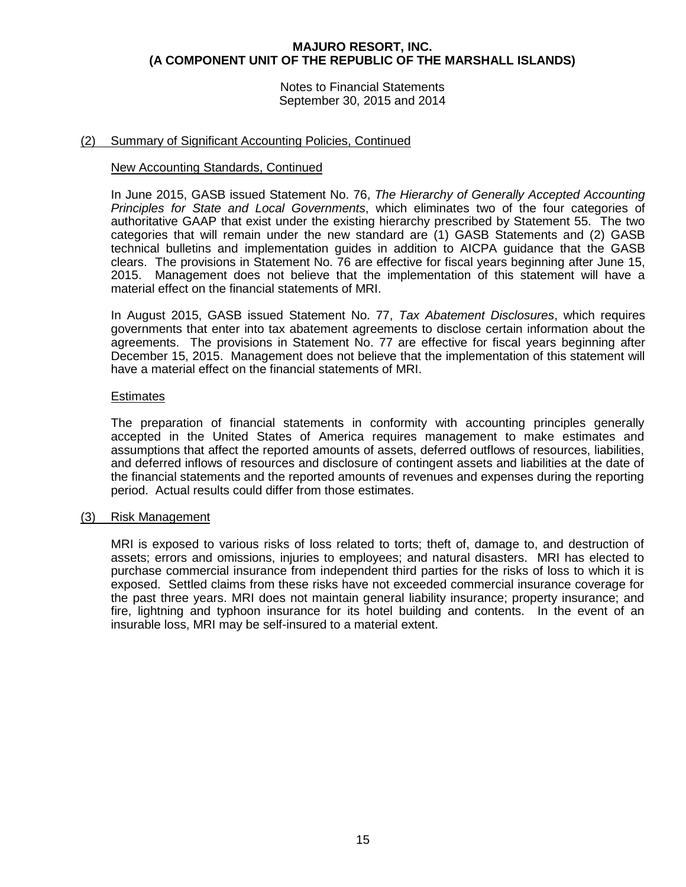Notes to Financial Statements September 30, 2015 and 2014

## (2) Summary of Significant Accounting Policies, Continued

#### New Accounting Standards, Continued

In June 2015, GASB issued Statement No. 76, *The Hierarchy of Generally Accepted Accounting Principles for State and Local Governments*, which eliminates two of the four categories of authoritative GAAP that exist under the existing hierarchy prescribed by Statement 55. The two categories that will remain under the new standard are (1) GASB Statements and (2) GASB technical bulletins and implementation guides in addition to AICPA guidance that the GASB clears. The provisions in Statement No. 76 are effective for fiscal years beginning after June 15, 2015. Management does not believe that the implementation of this statement will have a material effect on the financial statements of MRI.

In August 2015, GASB issued Statement No. 77, *Tax Abatement Disclosures*, which requires governments that enter into tax abatement agreements to disclose certain information about the agreements. The provisions in Statement No. 77 are effective for fiscal years beginning after December 15, 2015. Management does not believe that the implementation of this statement will have a material effect on the financial statements of MRI.

## **Estimates**

The preparation of financial statements in conformity with accounting principles generally accepted in the United States of America requires management to make estimates and assumptions that affect the reported amounts of assets, deferred outflows of resources, liabilities, and deferred inflows of resources and disclosure of contingent assets and liabilities at the date of the financial statements and the reported amounts of revenues and expenses during the reporting period. Actual results could differ from those estimates.

## (3) Risk Management

MRI is exposed to various risks of loss related to torts; theft of, damage to, and destruction of assets; errors and omissions, injuries to employees; and natural disasters. MRI has elected to purchase commercial insurance from independent third parties for the risks of loss to which it is exposed. Settled claims from these risks have not exceeded commercial insurance coverage for the past three years. MRI does not maintain general liability insurance; property insurance; and fire, lightning and typhoon insurance for its hotel building and contents. In the event of an insurable loss, MRI may be self-insured to a material extent.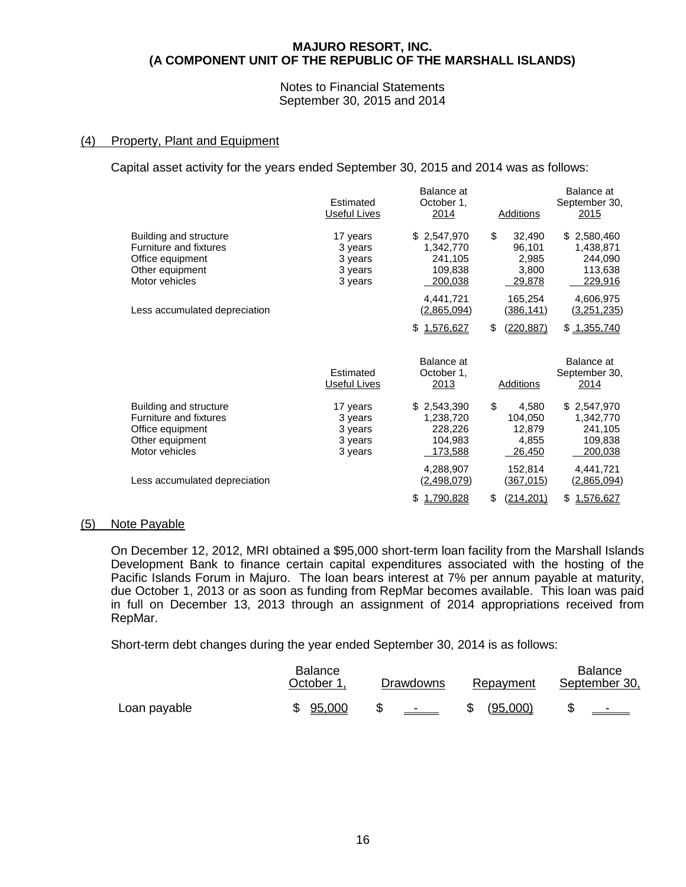Notes to Financial Statements September 30, 2015 and 2014

## (4) Property, Plant and Equipment

Capital asset activity for the years ended September 30, 2015 and 2014 was as follows:

|                                                                                                                  | Estimated<br><b>Useful Lives</b>                     | <b>Balance</b> at<br>October 1,<br>2014                   | Additions                                           | <b>Balance</b> at<br>September 30,<br>2015                |
|------------------------------------------------------------------------------------------------------------------|------------------------------------------------------|-----------------------------------------------------------|-----------------------------------------------------|-----------------------------------------------------------|
| Building and structure<br><b>Furniture and fixtures</b><br>Office equipment<br>Other equipment<br>Motor vehicles | 17 years<br>3 years<br>3 years<br>3 years<br>3 years | \$2,547,970<br>1,342,770<br>241,105<br>109,838<br>200,038 | \$<br>32,490<br>96,101<br>2,985<br>3,800<br>29,878  | \$2,580,460<br>1,438,871<br>244,090<br>113,638<br>229,916 |
| Less accumulated depreciation                                                                                    |                                                      | 4,441,721<br><u>(2,865,094)</u>                           | 165,254<br><u>(386,141)</u>                         | 4,606,975<br>(3,251,235)                                  |
|                                                                                                                  |                                                      | 1,576,627<br>S                                            | \$<br>(220, 887)                                    | \$1,355,740                                               |
|                                                                                                                  | Estimated<br><b>Useful Lives</b>                     | Balance at<br>October 1,<br>2013                          | Additions                                           | Balance at<br>September 30,<br>2014                       |
| Building and structure<br>Furniture and fixtures<br>Office equipment<br>Other equipment<br>Motor vehicles        | 17 years<br>3 years<br>3 years<br>3 years<br>3 years | \$2,543,390<br>1,238,720<br>228,226<br>104,983<br>173,588 | \$<br>4,580<br>104,050<br>12,879<br>4,855<br>26,450 | \$2,547,970<br>1,342,770<br>241,105<br>109,838<br>200,038 |
| Less accumulated depreciation                                                                                    |                                                      | 4,288,907<br><u>(2,498,079)</u>                           | 152,814<br><u>(367,015)</u>                         | 4,441,721<br><u>(2,865,094)</u>                           |
|                                                                                                                  |                                                      | 1,790,828                                                 | \$<br>(214, 201)                                    | 1,576,627<br>\$                                           |

## (5) Note Payable

On December 12, 2012, MRI obtained a \$95,000 short-term loan facility from the Marshall Islands Development Bank to finance certain capital expenditures associated with the hosting of the Pacific Islands Forum in Majuro. The loan bears interest at 7% per annum payable at maturity, due October 1, 2013 or as soon as funding from RepMar becomes available. This loan was paid in full on December 13, 2013 through an assignment of 2014 appropriations received from RepMar.

Short-term debt changes during the year ended September 30, 2014 is as follows:

|              | <b>Balance</b><br>October 1 | <b>Drawdowns</b>     | Repayment | <b>Balance</b><br>September 30,                                                                                                                                                                                                      |
|--------------|-----------------------------|----------------------|-----------|--------------------------------------------------------------------------------------------------------------------------------------------------------------------------------------------------------------------------------------|
| Loan payable | 95,000                      | $\frac{1}{\sqrt{2}}$ | (95,000)  | <u>and the second part of the second part of the second part of the second part of the second part of the second part of the second part of the second part of the second part of the second part of the second part of the seco</u> |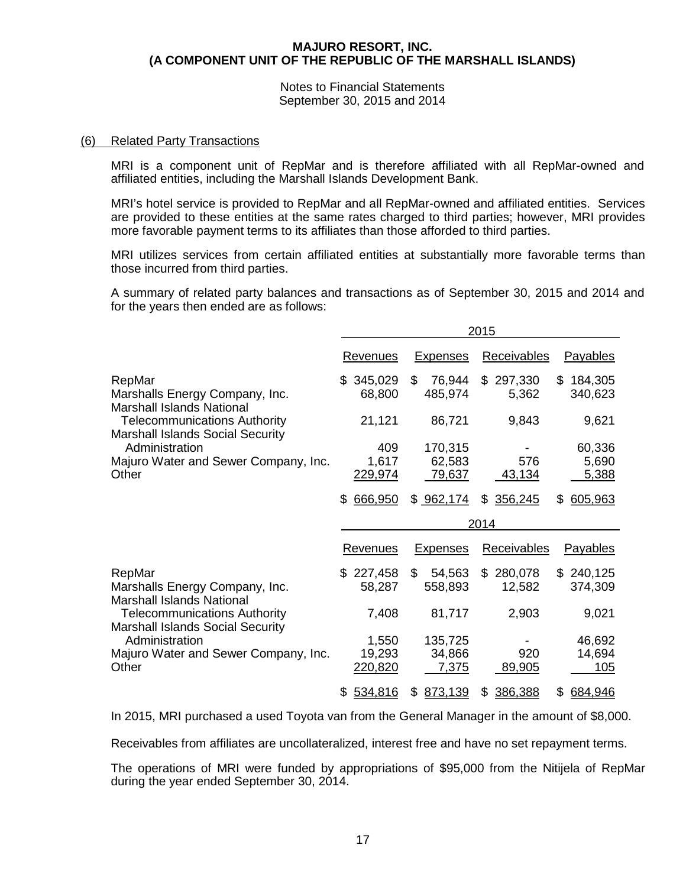Notes to Financial Statements September 30, 2015 and 2014

#### (6) Related Party Transactions

MRI is a component unit of RepMar and is therefore affiliated with all RepMar-owned and affiliated entities, including the Marshall Islands Development Bank.

MRI's hotel service is provided to RepMar and all RepMar-owned and affiliated entities. Services are provided to these entities at the same rates charged to third parties; however, MRI provides more favorable payment terms to its affiliates than those afforded to third parties.

MRI utilizes services from certain affiliated entities at substantially more favorable terms than those incurred from third parties.

A summary of related party balances and transactions as of September 30, 2015 and 2014 and for the years then ended are as follows:

|                                                                                | 2015                |                                   |                         |                      |
|--------------------------------------------------------------------------------|---------------------|-----------------------------------|-------------------------|----------------------|
|                                                                                | Revenues            | <b>Expenses</b>                   | <b>Receivables</b>      | <b>Payables</b>      |
| RepMar                                                                         | 345,029<br>\$.      | $\mathfrak{L}$<br>76,944          | $\mathbb{S}$<br>297,330 | 184,305<br>\$.       |
| Marshalls Energy Company, Inc.<br><b>Marshall Islands National</b>             | 68,800              | 485,974                           | 5,362                   | 340,623              |
| <b>Telecommunications Authority</b><br><b>Marshall Islands Social Security</b> | 21,121              | 86,721                            | 9,843                   | 9,621                |
| Administration                                                                 | 409                 | 170,315                           |                         | 60,336               |
| Majuro Water and Sewer Company, Inc.                                           | 1,617               | 62,583                            | 576                     | 5,690                |
| Other                                                                          | 229,974             | 79,637                            | 43,134                  | 5,388                |
|                                                                                | \$<br>666,950       | \$962,174                         | 356,245<br>\$           | \$<br>605,963        |
|                                                                                |                     |                                   | 2014                    |                      |
|                                                                                | Revenues            | <b>Expenses</b>                   | Receivables             | <b>Payables</b>      |
| RepMar<br>Marshalls Energy Company, Inc.                                       | \$227,458<br>58,287 | $\mathbb{S}$<br>54,563<br>558,893 | \$280,078<br>12,582     | \$240,125<br>374,309 |
| Marshall Islands National                                                      |                     |                                   |                         |                      |
| <b>Telecommunications Authority</b><br><b>Marshall Islands Social Security</b> | 7,408               | 81,717                            | 2,903                   | 9,021                |
| Administration                                                                 | 1,550               | 135,725                           |                         | 46,692               |
| Majuro Water and Sewer Company, Inc.                                           | 19,293              | 34,866                            | 920                     | 14,694               |
| Other                                                                          | 220,820             | 7,375                             | 89,905                  | 105                  |
|                                                                                | 534,816<br>\$       | 873,139<br>\$                     | 386,388<br>\$           | 684,946<br>\$        |

In 2015, MRI purchased a used Toyota van from the General Manager in the amount of \$8,000.

Receivables from affiliates are uncollateralized, interest free and have no set repayment terms.

The operations of MRI were funded by appropriations of \$95,000 from the Nitijela of RepMar during the year ended September 30, 2014.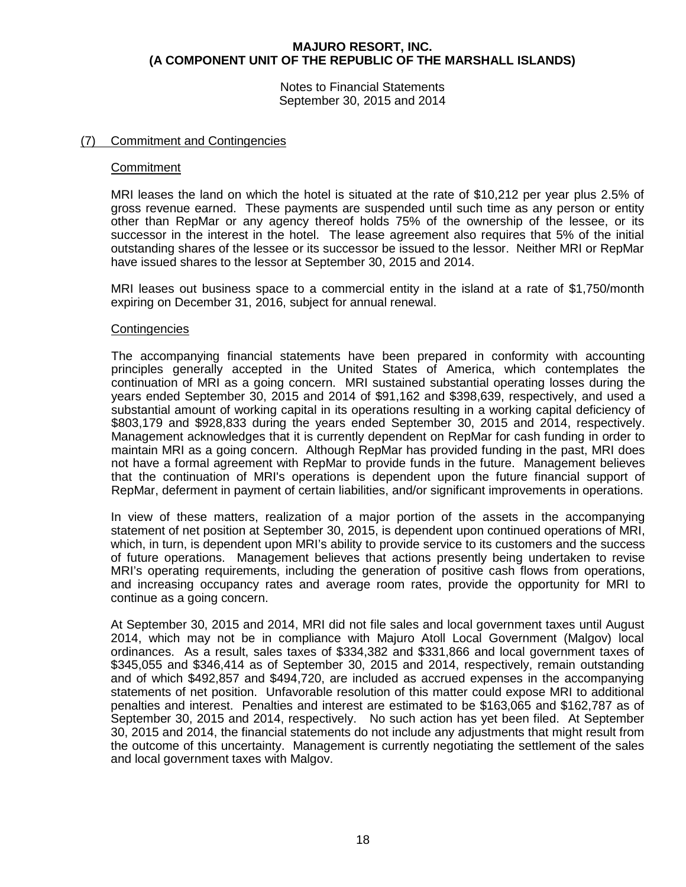Notes to Financial Statements September 30, 2015 and 2014

#### (7) Commitment and Contingencies

#### **Commitment**

MRI leases the land on which the hotel is situated at the rate of \$10,212 per year plus 2.5% of gross revenue earned. These payments are suspended until such time as any person or entity other than RepMar or any agency thereof holds 75% of the ownership of the lessee, or its successor in the interest in the hotel. The lease agreement also requires that 5% of the initial outstanding shares of the lessee or its successor be issued to the lessor. Neither MRI or RepMar have issued shares to the lessor at September 30, 2015 and 2014.

MRI leases out business space to a commercial entity in the island at a rate of \$1,750/month expiring on December 31, 2016, subject for annual renewal.

#### **Contingencies**

The accompanying financial statements have been prepared in conformity with accounting principles generally accepted in the United States of America, which contemplates the continuation of MRI as a going concern. MRI sustained substantial operating losses during the years ended September 30, 2015 and 2014 of \$91,162 and \$398,639, respectively, and used a substantial amount of working capital in its operations resulting in a working capital deficiency of \$803,179 and \$928,833 during the years ended September 30, 2015 and 2014, respectively. Management acknowledges that it is currently dependent on RepMar for cash funding in order to maintain MRI as a going concern. Although RepMar has provided funding in the past, MRI does not have a formal agreement with RepMar to provide funds in the future. Management believes that the continuation of MRI's operations is dependent upon the future financial support of RepMar, deferment in payment of certain liabilities, and/or significant improvements in operations.

In view of these matters, realization of a major portion of the assets in the accompanying statement of net position at September 30, 2015, is dependent upon continued operations of MRI, which, in turn, is dependent upon MRI's ability to provide service to its customers and the success of future operations. Management believes that actions presently being undertaken to revise MRI's operating requirements, including the generation of positive cash flows from operations, and increasing occupancy rates and average room rates, provide the opportunity for MRI to continue as a going concern.

At September 30, 2015 and 2014, MRI did not file sales and local government taxes until August 2014, which may not be in compliance with Majuro Atoll Local Government (Malgov) local ordinances. As a result, sales taxes of \$334,382 and \$331,866 and local government taxes of \$345,055 and \$346,414 as of September 30, 2015 and 2014, respectively, remain outstanding and of which \$492,857 and \$494,720, are included as accrued expenses in the accompanying statements of net position. Unfavorable resolution of this matter could expose MRI to additional penalties and interest. Penalties and interest are estimated to be \$163,065 and \$162,787 as of September 30, 2015 and 2014, respectively. No such action has yet been filed. At September 30, 2015 and 2014, the financial statements do not include any adjustments that might result from the outcome of this uncertainty. Management is currently negotiating the settlement of the sales and local government taxes with Malgov.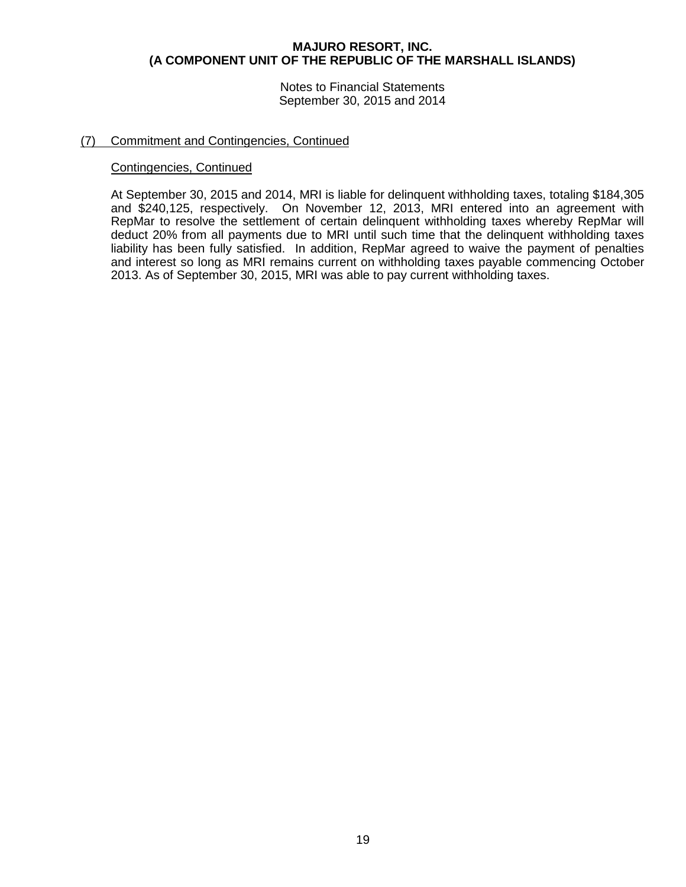Notes to Financial Statements September 30, 2015 and 2014

## (7) Commitment and Contingencies, Continued

#### Contingencies, Continued

At September 30, 2015 and 2014, MRI is liable for delinquent withholding taxes, totaling \$184,305 and \$240,125, respectively. On November 12, 2013, MRI entered into an agreement with RepMar to resolve the settlement of certain delinquent withholding taxes whereby RepMar will deduct 20% from all payments due to MRI until such time that the delinquent withholding taxes liability has been fully satisfied. In addition, RepMar agreed to waive the payment of penalties and interest so long as MRI remains current on withholding taxes payable commencing October 2013. As of September 30, 2015, MRI was able to pay current withholding taxes.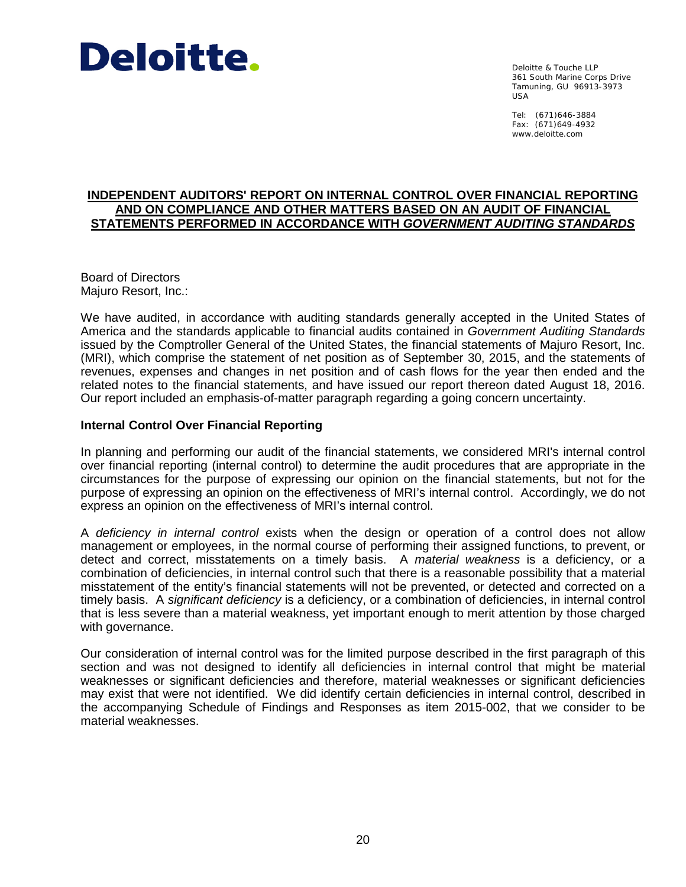

Deloitte & Touche LLP 361 South Marine Corps Drive Tamuning, GU 96913-3973 USA

Tel: (671)646-3884 Fax: (671)649-4932 www.deloitte.com

## **INDEPENDENT AUDITORS' REPORT ON INTERNAL CONTROL OVER FINANCIAL REPORTING AND ON COMPLIANCE AND OTHER MATTERS BASED ON AN AUDIT OF FINANCIAL STATEMENTS PERFORMED IN ACCORDANCE WITH** *GOVERNMENT AUDITING STANDARDS*

Board of Directors Majuro Resort, Inc.:

We have audited, in accordance with auditing standards generally accepted in the United States of America and the standards applicable to financial audits contained in *Government Auditing Standards* issued by the Comptroller General of the United States, the financial statements of Majuro Resort, Inc. (MRI), which comprise the statement of net position as of September 30, 2015, and the statements of revenues, expenses and changes in net position and of cash flows for the year then ended and the related notes to the financial statements, and have issued our report thereon dated August 18, 2016. Our report included an emphasis-of-matter paragraph regarding a going concern uncertainty.

## **Internal Control Over Financial Reporting**

In planning and performing our audit of the financial statements, we considered MRI's internal control over financial reporting (internal control) to determine the audit procedures that are appropriate in the circumstances for the purpose of expressing our opinion on the financial statements, but not for the purpose of expressing an opinion on the effectiveness of MRI's internal control. Accordingly, we do not express an opinion on the effectiveness of MRI's internal control.

A *deficiency in internal control* exists when the design or operation of a control does not allow management or employees, in the normal course of performing their assigned functions, to prevent, or detect and correct, misstatements on a timely basis. A *material weakness* is a deficiency, or a combination of deficiencies, in internal control such that there is a reasonable possibility that a material misstatement of the entity's financial statements will not be prevented, or detected and corrected on a timely basis. A *significant deficiency* is a deficiency, or a combination of deficiencies, in internal control that is less severe than a material weakness, yet important enough to merit attention by those charged with governance.

Our consideration of internal control was for the limited purpose described in the first paragraph of this section and was not designed to identify all deficiencies in internal control that might be material weaknesses or significant deficiencies and therefore, material weaknesses or significant deficiencies may exist that were not identified. We did identify certain deficiencies in internal control, described in the accompanying Schedule of Findings and Responses as item 2015-002, that we consider to be material weaknesses.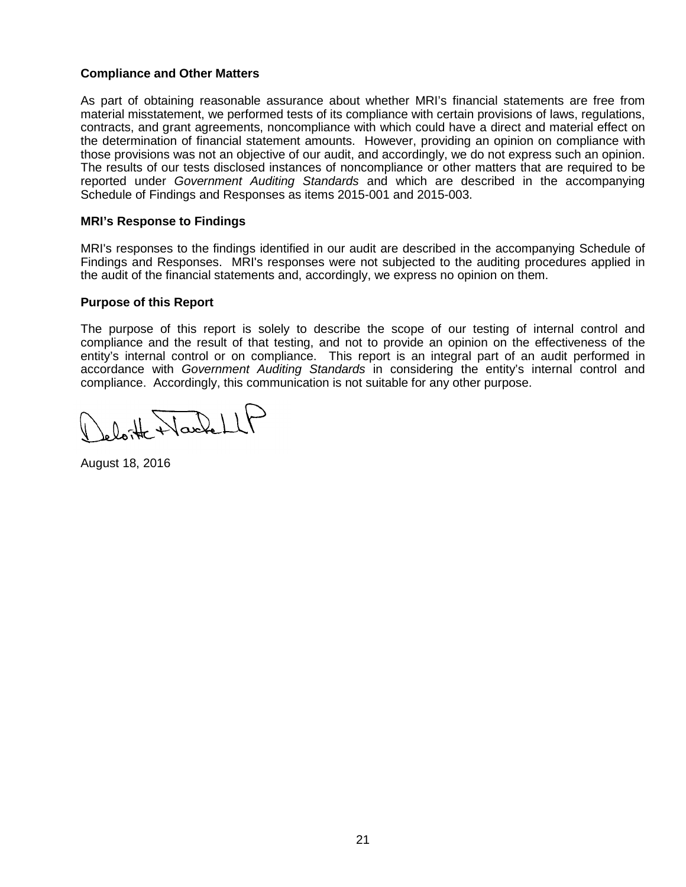## **Compliance and Other Matters**

As part of obtaining reasonable assurance about whether MRI's financial statements are free from material misstatement, we performed tests of its compliance with certain provisions of laws, regulations, contracts, and grant agreements, noncompliance with which could have a direct and material effect on the determination of financial statement amounts. However, providing an opinion on compliance with those provisions was not an objective of our audit, and accordingly, we do not express such an opinion. The results of our tests disclosed instances of noncompliance or other matters that are required to be reported under *Government Auditing Standards* and which are described in the accompanying Schedule of Findings and Responses as items 2015-001 and 2015-003.

## **MRI's Response to Findings**

MRI's responses to the findings identified in our audit are described in the accompanying Schedule of Findings and Responses. MRI's responses were not subjected to the auditing procedures applied in the audit of the financial statements and, accordingly, we express no opinion on them.

## **Purpose of this Report**

The purpose of this report is solely to describe the scope of our testing of internal control and compliance and the result of that testing, and not to provide an opinion on the effectiveness of the entity's internal control or on compliance. This report is an integral part of an audit performed in accordance with *Government Auditing Standards* in considering the entity's internal control and compliance. Accordingly, this communication is not suitable for any other purpose.

loite Harlett

August 18, 2016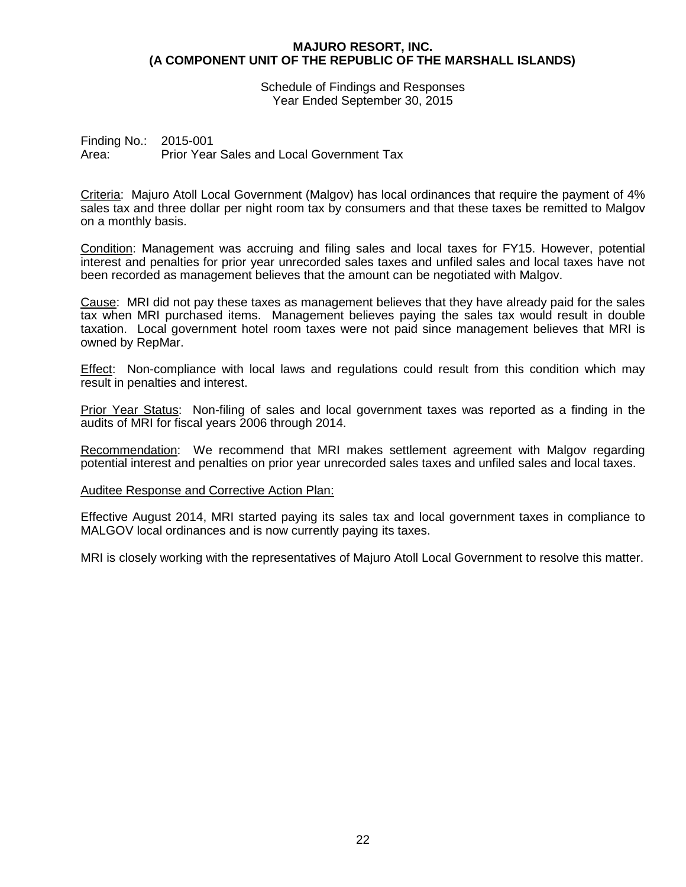Schedule of Findings and Responses Year Ended September 30, 2015

Finding No.: 2015-001<br>Area: Prior Year Prior Year Sales and Local Government Tax

Criteria: Majuro Atoll Local Government (Malgov) has local ordinances that require the payment of 4% sales tax and three dollar per night room tax by consumers and that these taxes be remitted to Malgov on a monthly basis.

Condition: Management was accruing and filing sales and local taxes for FY15. However, potential interest and penalties for prior year unrecorded sales taxes and unfiled sales and local taxes have not been recorded as management believes that the amount can be negotiated with Malgov.

Cause: MRI did not pay these taxes as management believes that they have already paid for the sales tax when MRI purchased items. Management believes paying the sales tax would result in double taxation. Local government hotel room taxes were not paid since management believes that MRI is owned by RepMar.

Effect: Non-compliance with local laws and regulations could result from this condition which may result in penalties and interest.

Prior Year Status: Non-filing of sales and local government taxes was reported as a finding in the audits of MRI for fiscal years 2006 through 2014.

Recommendation: We recommend that MRI makes settlement agreement with Malgov regarding potential interest and penalties on prior year unrecorded sales taxes and unfiled sales and local taxes.

#### Auditee Response and Corrective Action Plan:

Effective August 2014, MRI started paying its sales tax and local government taxes in compliance to MALGOV local ordinances and is now currently paying its taxes.

MRI is closely working with the representatives of Majuro Atoll Local Government to resolve this matter.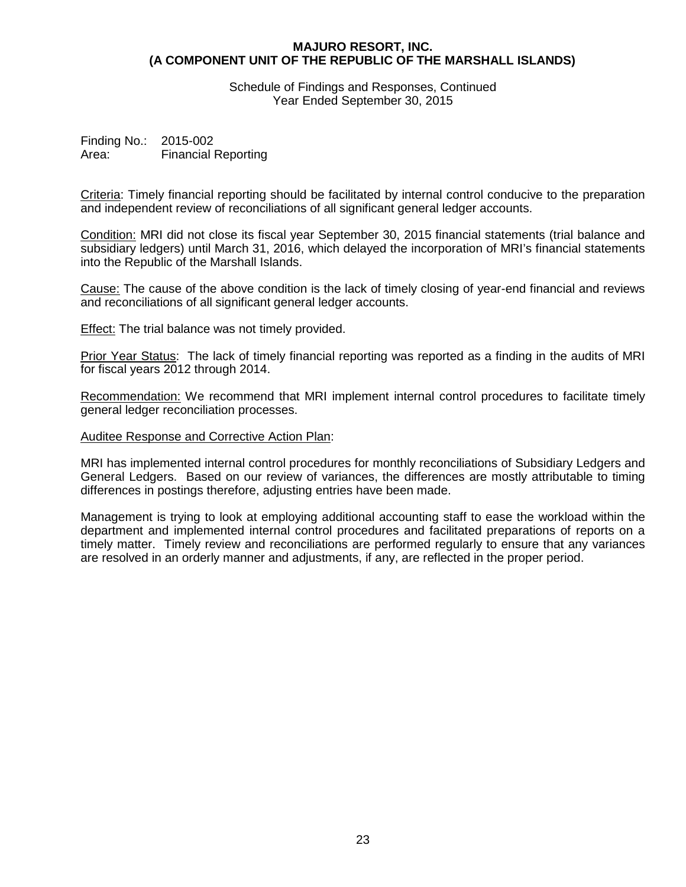Schedule of Findings and Responses, Continued Year Ended September 30, 2015

Finding No.: 2015-002<br>Area: Financial **Financial Reporting** 

Criteria: Timely financial reporting should be facilitated by internal control conducive to the preparation and independent review of reconciliations of all significant general ledger accounts.

Condition: MRI did not close its fiscal year September 30, 2015 financial statements (trial balance and subsidiary ledgers) until March 31, 2016, which delayed the incorporation of MRI's financial statements into the Republic of the Marshall Islands.

Cause: The cause of the above condition is the lack of timely closing of year-end financial and reviews and reconciliations of all significant general ledger accounts.

Effect: The trial balance was not timely provided.

Prior Year Status: The lack of timely financial reporting was reported as a finding in the audits of MRI for fiscal years 2012 through 2014.

Recommendation: We recommend that MRI implement internal control procedures to facilitate timely general ledger reconciliation processes.

#### Auditee Response and Corrective Action Plan:

MRI has implemented internal control procedures for monthly reconciliations of Subsidiary Ledgers and General Ledgers. Based on our review of variances, the differences are mostly attributable to timing differences in postings therefore, adjusting entries have been made.

Management is trying to look at employing additional accounting staff to ease the workload within the department and implemented internal control procedures and facilitated preparations of reports on a timely matter. Timely review and reconciliations are performed regularly to ensure that any variances are resolved in an orderly manner and adjustments, if any, are reflected in the proper period.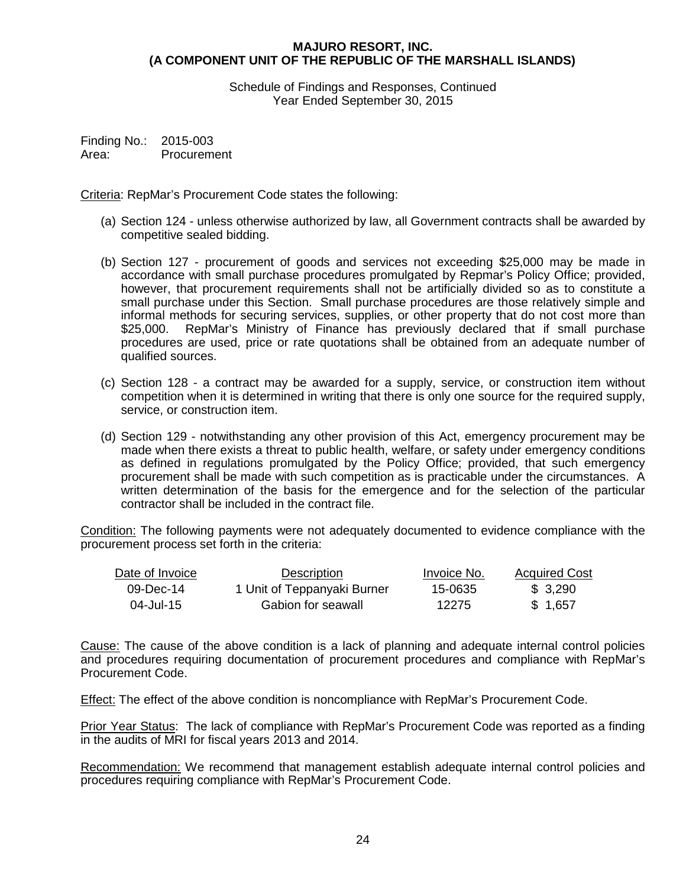Schedule of Findings and Responses, Continued Year Ended September 30, 2015

Finding No.: 2015-003<br>Area: Procureme **Procurement** 

Criteria: RepMar's Procurement Code states the following:

- (a) Section 124 unless otherwise authorized by law, all Government contracts shall be awarded by competitive sealed bidding.
- (b) Section 127 procurement of goods and services not exceeding \$25,000 may be made in accordance with small purchase procedures promulgated by Repmar's Policy Office; provided, however, that procurement requirements shall not be artificially divided so as to constitute a small purchase under this Section. Small purchase procedures are those relatively simple and informal methods for securing services, supplies, or other property that do not cost more than \$25,000. RepMar's Ministry of Finance has previously declared that if small purchase procedures are used, price or rate quotations shall be obtained from an adequate number of qualified sources.
- (c) Section 128 a contract may be awarded for a supply, service, or construction item without competition when it is determined in writing that there is only one source for the required supply, service, or construction item.
- (d) Section 129 notwithstanding any other provision of this Act, emergency procurement may be made when there exists a threat to public health, welfare, or safety under emergency conditions as defined in regulations promulgated by the Policy Office; provided, that such emergency procurement shall be made with such competition as is practicable under the circumstances. A written determination of the basis for the emergence and for the selection of the particular contractor shall be included in the contract file.

Condition: The following payments were not adequately documented to evidence compliance with the procurement process set forth in the criteria:

| Date of Invoice | Description                 | Invoice No. | <b>Acquired Cost</b> |
|-----------------|-----------------------------|-------------|----------------------|
| $09 - Dec - 14$ | 1 Unit of Teppanyaki Burner | 15-0635     | \$ 3,290             |
| 04-Jul-15       | Gabion for seawall          | 12275       | \$1,657              |

Cause: The cause of the above condition is a lack of planning and adequate internal control policies and procedures requiring documentation of procurement procedures and compliance with RepMar's Procurement Code.

Effect: The effect of the above condition is noncompliance with RepMar's Procurement Code.

Prior Year Status: The lack of compliance with RepMar's Procurement Code was reported as a finding in the audits of MRI for fiscal years 2013 and 2014.

Recommendation: We recommend that management establish adequate internal control policies and procedures requiring compliance with RepMar's Procurement Code.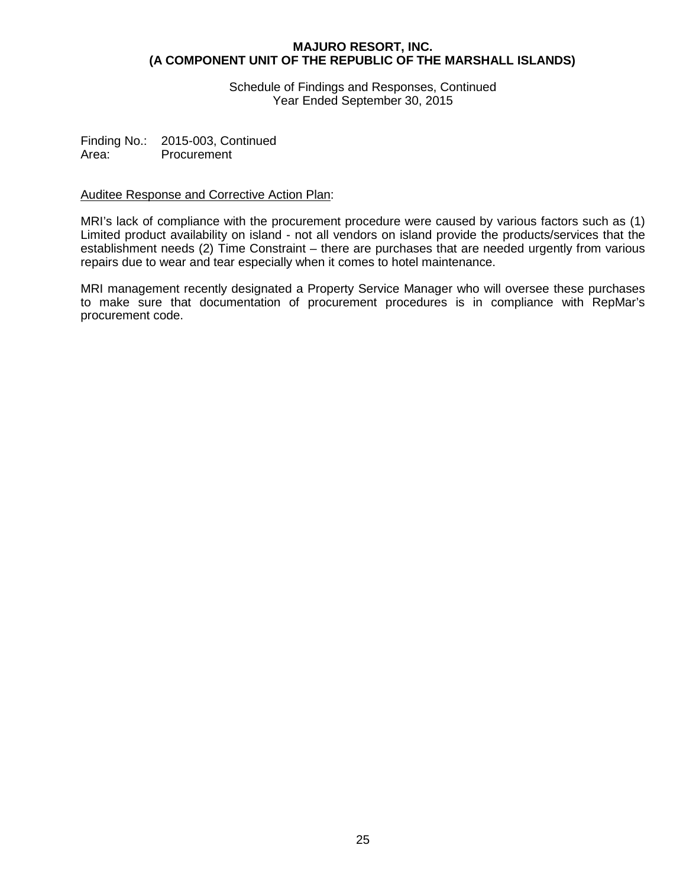Schedule of Findings and Responses, Continued Year Ended September 30, 2015

Finding No.: 2015-003, Continued **Procurement** 

## Auditee Response and Corrective Action Plan:

MRI's lack of compliance with the procurement procedure were caused by various factors such as (1) Limited product availability on island - not all vendors on island provide the products/services that the establishment needs (2) Time Constraint – there are purchases that are needed urgently from various repairs due to wear and tear especially when it comes to hotel maintenance.

MRI management recently designated a Property Service Manager who will oversee these purchases to make sure that documentation of procurement procedures is in compliance with RepMar's procurement code.